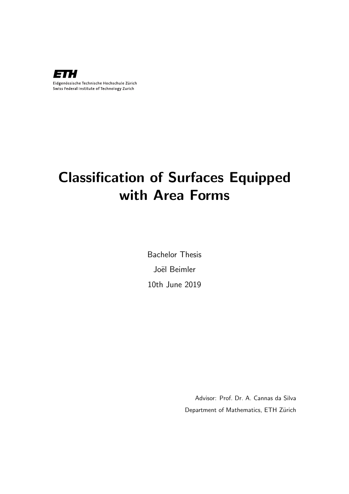

# Classification of Surfaces Equipped with Area Forms

Bachelor Thesis Joël Beimler 10th June 2019

> Advisor: Prof. Dr. A. Cannas da Silva Department of Mathematics, ETH Zürich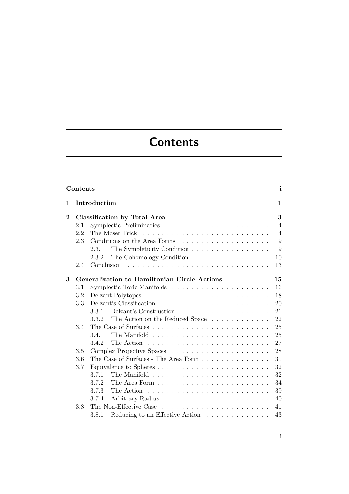# **Contents**

<span id="page-1-0"></span>

| Contents       |                                     |            |                                                                      |                |  |  |  |  |  |  |  |  |  |  |
|----------------|-------------------------------------|------------|----------------------------------------------------------------------|----------------|--|--|--|--|--|--|--|--|--|--|
| 1              | Introduction                        |            |                                                                      |                |  |  |  |  |  |  |  |  |  |  |
| $\overline{2}$ | <b>Classification by Total Area</b> |            |                                                                      |                |  |  |  |  |  |  |  |  |  |  |
|                | 2.1                                 |            |                                                                      | $\overline{4}$ |  |  |  |  |  |  |  |  |  |  |
|                | 2.2                                 |            |                                                                      | $\overline{4}$ |  |  |  |  |  |  |  |  |  |  |
|                | 2.3                                 |            | Conditions on the Area Forms                                         | 9              |  |  |  |  |  |  |  |  |  |  |
|                |                                     | 2.3.1      | The Sympleticity Condition                                           | 9              |  |  |  |  |  |  |  |  |  |  |
|                |                                     | 2.3.2      | The Cohomology Condition $\ldots \ldots \ldots \ldots \ldots$        | 10             |  |  |  |  |  |  |  |  |  |  |
|                | 2.4                                 | Conclusion |                                                                      | 13             |  |  |  |  |  |  |  |  |  |  |
|                |                                     |            |                                                                      |                |  |  |  |  |  |  |  |  |  |  |
| 3              |                                     |            | Generalization to Hamiltonian Circle Actions                         | 15             |  |  |  |  |  |  |  |  |  |  |
|                | $3.1\,$                             |            |                                                                      | 16             |  |  |  |  |  |  |  |  |  |  |
|                | $3.2\,$                             |            |                                                                      | 18             |  |  |  |  |  |  |  |  |  |  |
|                | $3.3\,$                             |            |                                                                      | 20             |  |  |  |  |  |  |  |  |  |  |
|                |                                     | 3.3.1      |                                                                      | 21             |  |  |  |  |  |  |  |  |  |  |
|                |                                     | 3.3.2      | The Action on the Reduced Space                                      | 22             |  |  |  |  |  |  |  |  |  |  |
|                | 3.4                                 |            |                                                                      | 25             |  |  |  |  |  |  |  |  |  |  |
|                |                                     | 3.4.1      |                                                                      | 25             |  |  |  |  |  |  |  |  |  |  |
|                |                                     | 3.4.2      |                                                                      | 27<br>28       |  |  |  |  |  |  |  |  |  |  |
|                | 3.5                                 |            |                                                                      |                |  |  |  |  |  |  |  |  |  |  |
|                | 3.6                                 |            | The Case of Surfaces - The Area Form $\dots \dots \dots \dots \dots$ | 31             |  |  |  |  |  |  |  |  |  |  |
| 3.7            |                                     |            |                                                                      | 32             |  |  |  |  |  |  |  |  |  |  |
|                |                                     | 3.7.1      |                                                                      | 32             |  |  |  |  |  |  |  |  |  |  |
|                |                                     | 3.7.2      |                                                                      | 34             |  |  |  |  |  |  |  |  |  |  |
|                |                                     | 3.7.3      | The Action $\ldots \ldots \ldots \ldots \ldots \ldots \ldots \ldots$ | 39             |  |  |  |  |  |  |  |  |  |  |
|                |                                     | 3.7.4      |                                                                      | 40             |  |  |  |  |  |  |  |  |  |  |
|                | 3.8                                 |            | The Non-Effective Case                                               | 41             |  |  |  |  |  |  |  |  |  |  |
|                |                                     | 3.8.1      | Reducing to an Effective Action                                      | 43             |  |  |  |  |  |  |  |  |  |  |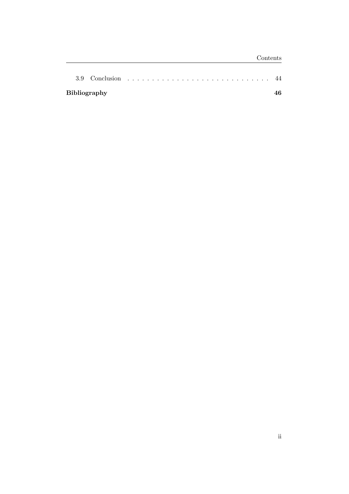| <b>Bibliography</b> |  |  |  |  |  |  |  |  |  |  |  |  |  |  |  |  |
|---------------------|--|--|--|--|--|--|--|--|--|--|--|--|--|--|--|--|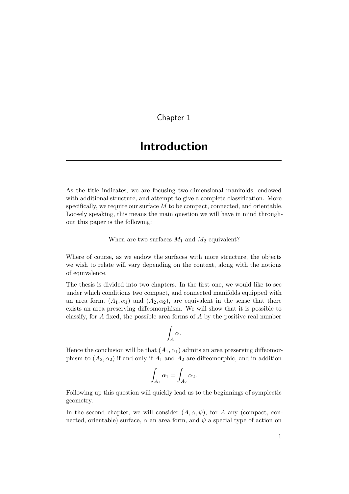### Chapter 1

## <span id="page-3-0"></span>Introduction

As the title indicates, we are focusing two-dimensional manifolds, endowed with additional structure, and attempt to give a complete classification. More specifically, we require our surface  $M$  to be compact, connected, and orientable. Loosely speaking, this means the main question we will have in mind throughout this paper is the following:

When are two surfaces  $M_1$  and  $M_2$  equivalent?

Where of course, as we endow the surfaces with more structure, the objects we wish to relate will vary depending on the context, along with the notions of equivalence.

The thesis is divided into two chapters. In the first one, we would like to see under which conditions two compact, and connected manifolds equipped with an area form,  $(A_1, \alpha_1)$  and  $(A_2, \alpha_2)$ , are equivalent in the sense that there exists an area preserving diffeomorphism. We will show that it is possible to classify, for A fixed, the possible area forms of A by the positive real number

$$
\int_A \alpha.
$$

Hence the conclusion will be that  $(A_1, \alpha_1)$  admits an area preserving diffeomorphism to  $(A_2, \alpha_2)$  if and only if  $A_1$  and  $A_2$  are diffeomorphic, and in addition

$$
\int_{A_1} \alpha_1 = \int_{A_2} \alpha_2.
$$

Following up this question will quickly lead us to the beginnings of symplectic geometry.

In the second chapter, we will consider  $(A, \alpha, \psi)$ , for A any (compact, connected, orientable) surface,  $\alpha$  an area form, and  $\psi$  a special type of action on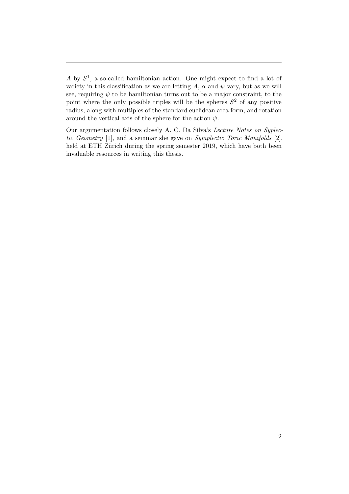Our argumentation follows closely A. C. Da Silva's Lecture Notes on Syplectic Geometry [\[1\]](#page-48-1), and a seminar she gave on Symplectic Toric Manifolds [\[2\]](#page-48-2), held at ETH Zürich during the spring semester 2019, which have both been invaluable resources in writing this thesis.

A by  $S^1$ , a so-called hamiltonian action. One might expect to find a lot of variety in this classification as we are letting A,  $\alpha$  and  $\psi$  vary, but as we will see, requiring  $\psi$  to be hamiltonian turns out to be a major constraint, to the point where the only possible triples will be the spheres  $S^2$  of any positive radius, along with multiples of the standard euclidean area form, and rotation around the vertical axis of the sphere for the action  $\psi$ .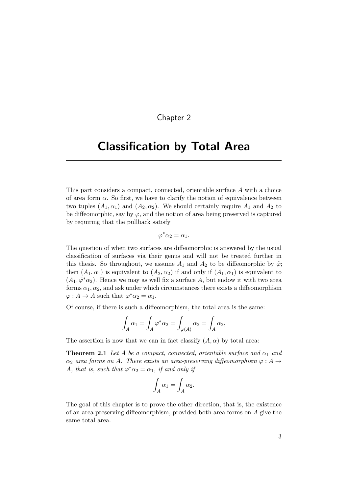#### Chapter 2

## <span id="page-5-0"></span>Classification by Total Area

This part considers a compact, connected, orientable surface A with a choice of area form  $\alpha$ . So first, we have to clarify the notion of equivalence between two tuples  $(A_1, \alpha_1)$  and  $(A_2, \alpha_2)$ . We should certainly require  $A_1$  and  $A_2$  to be diffeomorphic, say by  $\varphi$ , and the notion of area being preserved is captured by requiring that the pullback satisfy

$$
\varphi^*\alpha_2=\alpha_1.
$$

The question of when two surfaces are diffeomorphic is answered by the usual classification of surfaces via their genus and will not be treated further in this thesis. So throughout, we assume  $A_1$  and  $A_2$  to be diffeomorphic by  $\tilde{\varphi}$ ; then  $(A_1, \alpha_1)$  is equivalent to  $(A_2, \alpha_2)$  if and only if  $(A_1, \alpha_1)$  is equivalent to  $(A_1, \tilde{\varphi}^* \alpha_2)$ . Hence we may as well fix a surface A, but endow it with two area forms  $\alpha_1, \alpha_2$ , and ask under which circumstances there exists a diffeomorphism  $\varphi: A \to A$  such that  $\varphi^* \alpha_2 = \alpha_1$ .

Of course, if there is such a diffeomorphism, the total area is the same:

$$
\int_A \alpha_1 = \int_A \varphi^* \alpha_2 = \int_{\varphi(A)} \alpha_2 = \int_A \alpha_2,
$$

The assertion is now that we can in fact classify  $(A, \alpha)$  by total area:

**Theorem 2.1** Let A be a compact, connected, orientable surface and  $\alpha_1$  and  $\alpha_2$  area forms on A. There exists an area-preserving diffeomorphism  $\varphi: A \to$ A, that is, such that  $\varphi^* \alpha_2 = \alpha_1$ , if and only if

<span id="page-5-1"></span>
$$
\int_A \alpha_1 = \int_A \alpha_2.
$$

The goal of this chapter is to prove the other direction, that is, the existence of an area preserving diffeomorphism, provided both area forms on A give the same total area.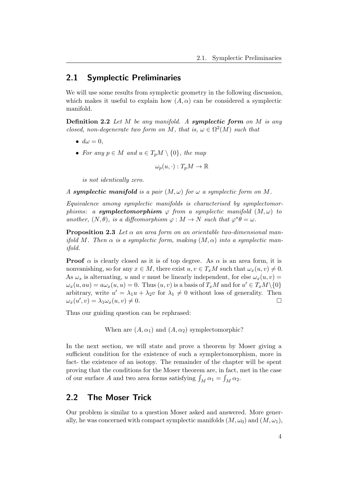## <span id="page-6-0"></span>2.1 Symplectic Preliminaries

We will use some results from symplectic geometry in the following discussion, which makes it useful to explain how  $(A, \alpha)$  can be considered a symplectic manifold.

<span id="page-6-3"></span>**Definition 2.2** Let  $M$  be any manifold. A symplectic form on  $M$  is any closed, non-degenerate two form on M, that is,  $\omega \in \Omega^2(M)$  such that

- $d\omega = 0$ .
- For any  $p \in M$  and  $u \in T_pM \setminus \{0\}$ , the map

$$
\omega_p(u, \cdot) : T_pM \to \mathbb{R}
$$

is not identically zero.

A symplectic manifold is a pair  $(M, \omega)$  for  $\omega$  a symplectic form on M.

Equivalence among symplectic manifolds is characterised by symplectomorphisms: a **symplectomorphism**  $\varphi$  from a symplectic manifold  $(M, \omega)$  to another,  $(N, \theta)$ , is a diffeomorphism  $\varphi : M \to N$  such that  $\varphi^* \theta = \omega$ .

<span id="page-6-2"></span>**Proposition 2.3** Let  $\alpha$  an area form on an orientable two-dimensional manifold M. Then  $\alpha$  is a symplectic form, making  $(M, \alpha)$  into a symplectic manifold.

**Proof**  $\alpha$  is clearly closed as it is of top degree. As  $\alpha$  is an area form, it is nonvanishing, so for any  $x \in M$ , there exist  $u, v \in T_xM$  such that  $\omega_x(u, v) \neq 0$ . As  $\omega_x$  is alternating, u and v must be linearly independent, for else  $\omega_x(u, v) =$  $\omega_x(u, au) = a\omega_x(u, u) = 0$ . Thus  $(u, v)$  is a basis of  $T_xM$  and for  $u' \in T_xM \setminus \{0\}$ arbitrary, write  $u' = \lambda_1 u + \lambda_2 v$  for  $\lambda_1 \neq 0$  without loss of generality. Then  $\omega_x(u',v) = \lambda_1 \omega_x(u,v) \neq 0.$ 

Thus our guiding question can be rephrased:

When are  $(A, \alpha_1)$  and  $(A, \alpha_2)$  symplectomorphic?

In the next section, we will state and prove a theorem by Moser giving a sufficient condition for the existence of such a symplectomorphism, more in fact- the existence of an isotopy. The remainder of the chapter will be spent proving that the conditions for the Moser theorem are, in fact, met in the case of our surface A and two area forms satisfying  $\int_M \alpha_1 = \int_M \alpha_2$ .

## <span id="page-6-1"></span>2.2 The Moser Trick

Our problem is similar to a question Moser asked and answered. More generally, he was concerned with compact symplectic manifolds  $(M, \omega_0)$  and  $(M, \omega_1)$ ,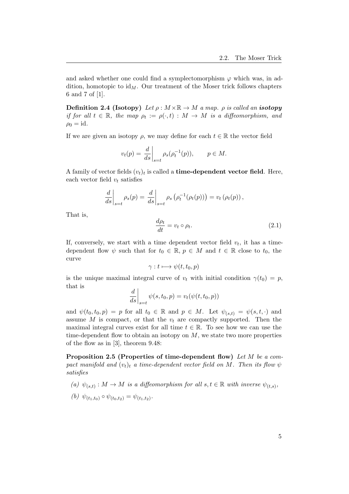and asked whether one could find a symplectomorphism  $\varphi$  which was, in addition, homotopic to  $id_M$ . Our treatment of the Moser trick follows chapters 6 and 7 of [\[1\]](#page-48-1).

**Definition 2.4 (Isotopy)** Let  $\rho : M \times \mathbb{R} \to M$  a map.  $\rho$  is called an **isotopy** if for all  $t \in \mathbb{R}$ , the map  $\rho_t := \rho(\cdot, t) : M \to M$  is a diffeomorphism, and  $\rho_0 = \mathrm{id}.$ 

If we are given an isotopy  $\rho$ , we may define for each  $t \in \mathbb{R}$  the vector field

$$
v_t(p) = \frac{d}{ds}\bigg|_{s=t} \rho_s(\rho_t^{-1}(p)), \qquad p \in M.
$$

A family of vector fields  $(v_t)_t$  is called a **time-dependent vector field**. Here, each vector field  $v_t$  satisfies

$$
\left. \frac{d}{ds} \right|_{s=t} \rho_s(p) = \left. \frac{d}{ds} \right|_{s=t} \rho_s\left( \rho_t^{-1}(\rho_t(p)) \right) = v_t\left( \rho_t(p) \right),
$$

That is,

<span id="page-7-0"></span>
$$
\frac{d\rho_t}{dt} = v_t \circ \rho_t. \tag{2.1}
$$

If, conversely, we start with a time dependent vector field  $v_t$ , it has a timedependent flow  $\psi$  such that for  $t_0 \in \mathbb{R}$ ,  $p \in M$  and  $t \in \mathbb{R}$  close to  $t_0$ , the curve

$$
\gamma: t \longmapsto \psi(t, t_0, p)
$$

is the unique maximal integral curve of  $v_t$  with initial condition  $\gamma(t_0) = p$ , that is

$$
\left. \frac{d}{ds} \right|_{s=t} \psi(s, t_0, p) = v_t(\psi(t, t_0, p))
$$

and  $\psi(t_0, t_0, p) = p$  for all  $t_0 \in \mathbb{R}$  and  $p \in M$ . Let  $\psi_{(s,t)} = \psi(s, t, \cdot)$  and assume  $M$  is compact, or that the  $v_t$  are compactly supported. Then the maximal integral curves exist for all time  $t \in \mathbb{R}$ . To see how we can use the time-dependent flow to obtain an isotopy on  $M$ , we state two more properties of the flow as in [\[3\]](#page-48-3), theorem 9.48:

Proposition 2.5 (Properties of time-dependent flow) Let M be a compact manifold and  $(v_t)_t$  a time-dependent vector field on M. Then its flow  $\psi$ satisfies

(a)  $\psi_{(s,t)} : M \to M$  is a diffeomorphism for all  $s, t \in \mathbb{R}$  with inverse  $\psi_{(t,s)}$ ,

(b) 
$$
\psi_{(t_1,t_0)} \circ \psi_{(t_0,t_2)} = \psi_{(t_1,t_2)}
$$
.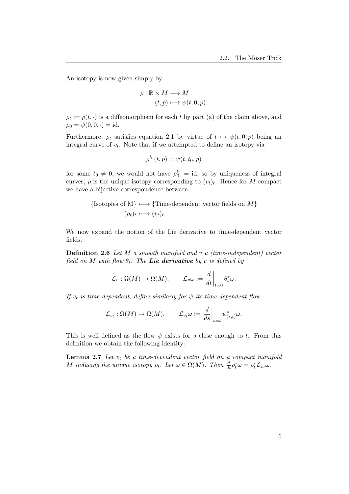An isotopy is now given simply by

$$
\rho : \mathbb{R} \times M \longrightarrow M
$$

$$
(t, p) \longmapsto \psi(t, 0, p).
$$

 $\rho_t := \rho(t, \cdot)$  is a diffeomorphism for each t by part (a) of the claim above, and  $\rho_0 = \psi(0, 0, \cdot) = id.$ 

Furthermore,  $\rho_t$  satisfies equation [2.1](#page-7-0) by virtue of  $t \mapsto \psi(t, 0, p)$  being an integral curve of  $v_t$ . Note that if we attempted to define an isotopy via

$$
\rho^{t_0}(t,p) = \psi(t,t_0,p)
$$

for some  $t_0 \neq 0$ , we would not have  $\rho_0^{t_0} = id$ , so by uniqueness of integral curves,  $\rho$  is the unique isotopy corresponding to  $(v_t)_t$ . Hence for M compact we have a bijective correspondence between

{Isotopies of M} 
$$
\longleftrightarrow
$$
 {Time-dependent vector fields on M}  
 $(\rho_t)_t \longleftrightarrow (v_t)_t.$ 

We now expand the notion of the Lie derivative to time-dependent vector fields.

**Definition 2.6** Let M a smooth manifold and v a (time-independent) vector field on M with flow  $\theta_t$ . The Lie derivative by v is defined by

$$
\mathcal{L}_v : \Omega(M) \to \Omega(M), \qquad \mathcal{L}_v \omega := \left. \frac{d}{dt} \right|_{t=0} \theta_t^* \omega.
$$

If  $v_t$  is time-dependent, define similarly for  $\psi$  its time-dependent flow

$$
\mathcal{L}_{v_t} : \Omega(M) \to \Omega(M), \qquad \mathcal{L}_{v_t} \omega := \frac{d}{ds} \Big|_{s=t} \psi_{(s,t)}^* \omega.
$$

This is well defined as the flow  $\psi$  exists for s close enough to t. From this definition we obtain the following identity:

<span id="page-8-0"></span>**Lemma 2.7** Let  $v_t$  be a time-dependent vector field on a compact manifold M inducing the unique isotopy  $\rho_t$ . Let  $\omega \in \Omega(M)$ . Then  $\frac{d}{dt} \rho_t^* \omega = \rho_t^* \mathcal{L}_{v_t} \omega$ .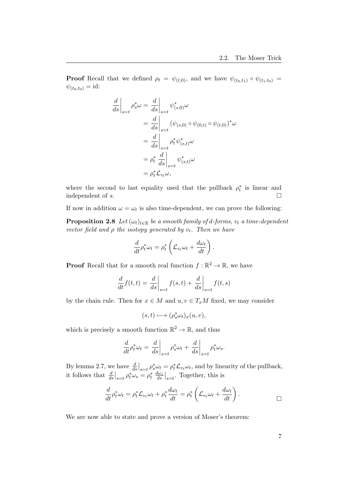**Proof** Recall that we defined  $\rho_t = \psi_{(t,0)}$ , and we have  $\psi_{(t_0,t_1)} \circ \psi_{(t_1,t_0)} =$  $\psi_{(t_0,t_0)} = id$ :

$$
\frac{d}{ds}\Big|_{s=t} \rho_s^* \omega = \frac{d}{ds}\Big|_{s=t} \psi_{(s,0)}^* \omega
$$
  
\n
$$
= \frac{d}{ds}\Big|_{s=t} (\psi_{(s,0)} \circ \psi_{(0,t)} \circ \psi_{(t,0)})^* \omega
$$
  
\n
$$
= \frac{d}{ds}\Big|_{s=t} \rho_t^* \psi_{(s,t)}^* \omega
$$
  
\n
$$
= \rho_t^* \frac{d}{ds}\Big|_{s=t} \psi_{(s,t)}^* \omega
$$
  
\n
$$
= \rho_t^* \mathcal{L}_{v_t} \omega,
$$

where the second to last equality used that the pullback  $\rho_t^*$  is linear and independent of s.  $\Box$ 

If now in addition  $\omega = \omega_t$  is also time-dependent, we can prove the following:

**Proposition 2.8** Let  $(\omega_t)_{t \in \mathbb{R}}$  be a smooth family of d-forms,  $v_t$  a time-dependent vector field and  $\rho$  the isotopy generated by  $v_t$ . Then we have

<span id="page-9-0"></span>
$$
\frac{d}{dt}\rho_t^*\omega_t = \rho_t^* \left( \mathcal{L}_{v_t}\omega_t + \frac{d\omega_t}{dt} \right).
$$

**Proof** Recall that for a smooth real function  $f : \mathbb{R}^2 \to \mathbb{R}$ , we have

$$
\frac{d}{dt}f(t,t) = \left. \frac{d}{ds} \right|_{s=t} f(s,t) + \left. \frac{d}{ds} \right|_{s=t} f(t,s)
$$

by the chain rule. Then for  $x \in M$  and  $u, v \in T_xM$  fixed, we may consider

 $(s,t) \longmapsto (\rho_s^* \omega_t)_x(u,v),$ 

which is precisely a smooth function  $\mathbb{R}^2 \to \mathbb{R}$ , and thus

$$
\frac{d}{dt}\rho_t^*\omega_t = \left. \frac{d}{ds} \right|_{s=t} \rho_s^*\omega_t + \left. \frac{d}{ds} \right|_{s=t} \rho_t^*\omega_s.
$$

By lemma [2.7,](#page-8-0) we have  $\frac{d}{ds}\Big|_{s=t} \rho_s^* \omega_t = \rho_t^* \mathcal{L}_{v_t} \omega_t$ , and by linearity of the pullback, it follows that  $\frac{d}{ds}\Big|_{s=t} \rho_t^* \omega_s = \rho_t^* \frac{d\omega_s}{ds}\Big|_{s=t}$ . Together, this is

$$
\frac{d}{dt}\rho_t^*\omega_t = \rho_t^*\mathcal{L}_{v_t}\omega_t + \rho_t^*\frac{d\omega_t}{dt} = \rho_t^*\left(\mathcal{L}_{v_t}\omega_t + \frac{d\omega_t}{dt}\right).
$$

We are now able to state and prove a version of Moser's theorem: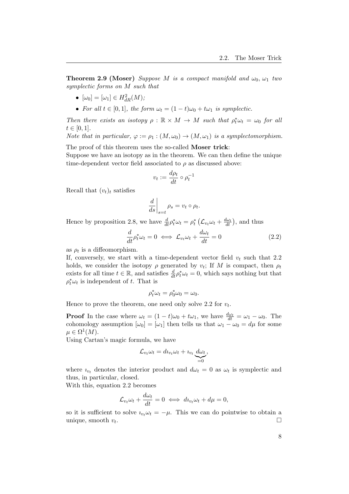**Theorem 2.9 (Moser)** Suppose M is a compact manifold and  $\omega_0$ ,  $\omega_1$  two symplectic forms on M such that

- $[\omega_0] = [\omega_1] \in H^2_{dR}(M);$
- For all  $t \in [0, 1]$ , the form  $\omega_t = (1 t)\omega_0 + t\omega_1$  is symplectic.

Then there exists an isotopy  $\rho : \mathbb{R} \times M \to M$  such that  $\rho_t^* \omega_t = \omega_0$  for all  $t \in [0, 1].$ 

Note that in particular,  $\varphi := \rho_1 : (M, \omega_0) \to (M, \omega_1)$  is a symplectomorphism.

The proof of this theorem uses the so-called Moser trick:

Suppose we have an isotopy as in the theorem. We can then define the unique time-dependent vector field associated to  $\rho$  as discussed above:

$$
v_t := \frac{d\rho_t}{dt} \circ \rho_t^{-1}
$$

Recall that  $(v_t)_t$  satisfies

$$
\left. \frac{d}{ds} \right|_{s=t} \rho_s = v_t \circ \rho_t.
$$

Hence by proposition [2.8,](#page-9-0) we have  $\frac{d}{dt} \rho_t^* \omega_t = \rho_t^* \left( \mathcal{L}_{v_t} \omega_t + \frac{d \omega_t}{dt} \right)$ , and thus

<span id="page-10-0"></span>
$$
\frac{d}{dt}\rho_t^* \omega_t = 0 \iff \mathcal{L}_{v_t} \omega_t + \frac{d\omega_t}{dt} = 0 \tag{2.2}
$$

as  $\rho_t$  is a diffeomorphism.

If, conversely, we start with a time-dependent vector field  $v_t$  such that [2.2](#page-10-0) holds, we consider the isotopy  $\rho$  generated by  $v_t$ ; If M is compact, then  $\rho_t$ exists for all time  $t \in \mathbb{R}$ , and satisfies  $\frac{d}{dt} \rho_t^* \omega_t = 0$ , which says nothing but that  $\rho_t^* \omega_t$  is independent of t. That is

$$
\rho_t^* \omega_t = \rho_0^* \omega_0 = \omega_0.
$$

Hence to prove the theorem, one need only solve [2.2](#page-10-0) for  $v_t$ .

**Proof** In the case where  $\omega_t = (1 - t)\omega_0 + t\omega_1$ , we have  $\frac{d\omega_t}{dt} = \omega_1 - \omega_0$ . The cohomology assumption  $[\omega_0] = [\omega_1]$  then tells us that  $\omega_1 - \omega_0 = d\mu$  for some  $\mu \in \Omega^1(M).$ 

Using Cartan's magic formula, we have

$$
\mathcal{L}_{v_t}\omega_t = d v_v_t \omega_t + v_{v_t} \underbrace{d \omega_t}_{=0},
$$

where  $i_{v_t}$  denotes the interior product and  $d\omega_t = 0$  as  $\omega_t$  is symplectic and thus, in particular, closed.

With this, equation [2.2](#page-10-0) becomes

$$
\mathcal{L}_{v_t}\omega_t + \frac{d\omega_t}{dt} = 0 \iff du_{v_t}\omega_t + d\mu = 0,
$$

so it is sufficient to solve  $i_{v_t}\omega_t = -\mu$ . This we can do pointwise to obtain a unique, smooth  $v_t$ . .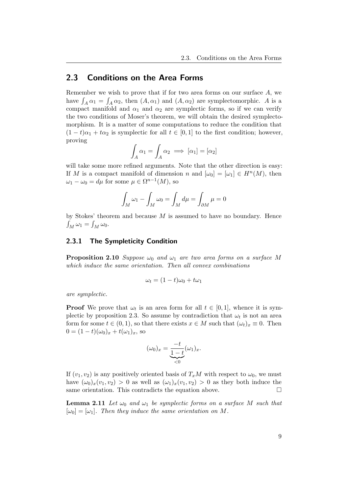## <span id="page-11-0"></span>2.3 Conditions on the Area Forms

Remember we wish to prove that if for two area forms on our surface A, we have  $\int_A \alpha_1 = \int_A \alpha_2$ , then  $(A, \alpha_1)$  and  $(A, \alpha_2)$  are symplectomorphic. A is a compact manifold and  $\alpha_1$  and  $\alpha_2$  are symplectic forms, so if we can verify the two conditions of Moser's theorem, we will obtain the desired symplectomorphism. It is a matter of some computations to reduce the condition that  $(1-t)\alpha_1 + t\alpha_2$  is symplectic for all  $t \in [0,1]$  to the first condition; however, proving

$$
\int_A \alpha_1 = \int_A \alpha_2 \implies [\alpha_1] = [\alpha_2]
$$

will take some more refined arguments. Note that the other direction is easy: If M is a compact manifold of dimension n and  $[\omega_0] = [\omega_1] \in H^n(M)$ , then  $\omega_1 - \omega_0 = d\mu$  for some  $\mu \in \Omega^{n-1}(M)$ , so

$$
\int_M \omega_1 - \int_M \omega_0 = \int_M d\mu = \int_{\partial M} \mu = 0
$$

by Stokes' theorem and because  $M$  is assumed to have no boundary. Hence  $\int_M \omega_1 = \int_M \omega_0.$ 

#### <span id="page-11-1"></span>2.3.1 The Sympleticity Condition

**Proposition 2.10** Suppose  $\omega_0$  and  $\omega_1$  are two area forms on a surface M which induce the same orientation. Then all convex combinations

$$
\omega_t = (1 - t)\omega_0 + t\omega_1
$$

are symplectic.

**Proof** We prove that  $\omega_t$  is an area form for all  $t \in [0,1]$ , whence it is sym-plectic by proposition [2.3.](#page-6-2) So assume by contradiction that  $\omega_t$  is not an area form for some  $t \in (0,1)$ , so that there exists  $x \in M$  such that  $(\omega_t)_x \equiv 0$ . Then  $0 = (1-t)(\omega_0)_x + t(\omega_1)_x$ , so

$$
(\omega_0)_x = \underbrace{\frac{-t}{1-t}}_{\leq 0} (\omega_1)_x.
$$

If  $(v_1, v_2)$  is any positively oriented basis of  $T_xM$  with respect to  $\omega_0$ , we must have  $(\omega_0)_x(v_1, v_2) > 0$  as well as  $(\omega_1)_x(v_1, v_2) > 0$  as they both induce the same orientation. This contradicts the equation above.  $\Box$ 

<span id="page-11-2"></span>**Lemma 2.11** Let  $\omega_0$  and  $\omega_1$  be symplectic forms on a surface M such that  $[\omega_0] = [\omega_1]$ . Then they induce the same orientation on M.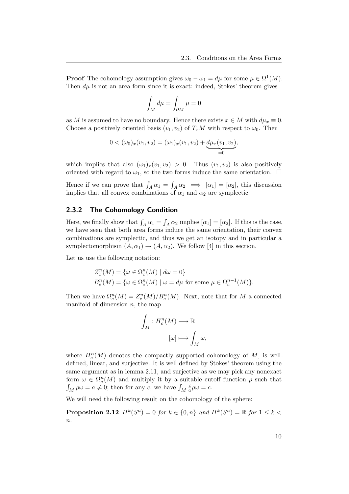**Proof** The cohomology assumption gives  $\omega_0 - \omega_1 = d\mu$  for some  $\mu \in \Omega^1(M)$ . Then  $d\mu$  is not an area form since it is exact: indeed, Stokes' theorem gives

$$
\int_M d\mu = \int_{\partial M} \mu = 0
$$

as M is assumed to have no boundary. Hence there exists  $x \in M$  with  $d\mu_x \equiv 0$ . Choose a positively oriented basis  $(v_1, v_2)$  of  $T_xM$  with respect to  $\omega_0$ . Then

$$
0 < (\omega_0)_x(v_1, v_2) = (\omega_1)_x(v_1, v_2) + \underbrace{d\mu_x(v_1, v_2)}_{=0},
$$

which implies that also  $(\omega_1)_x(v_1, v_2) > 0$ . Thus  $(v_1, v_2)$  is also positively oriented with regard to  $\omega_1$ , so the two forms induce the same orientation.  $\Box$ 

Hence if we can prove that  $\int_A \alpha_1 = \int_A \alpha_2 \implies [\alpha_1] = [\alpha_2]$ , this discussion implies that all convex combinations of  $\alpha_1$  and  $\alpha_2$  are symplectic.

#### <span id="page-12-0"></span>2.3.2 The Cohomology Condition

Here, we finally show that  $\int_A \alpha_1 = \int_A \alpha_2$  implies  $[\alpha_1] = [\alpha_2]$ . If this is the case, we have seen that both area forms induce the same orientation, their convex combinations are symplectic, and thus we get an isotopy and in particular a symplectomorphism  $(A, \alpha_1) \rightarrow (A, \alpha_2)$ . We follow [\[4\]](#page-48-4) in this section.

Let us use the following notation:

$$
Z_c^n(M) = \{ \omega \in \Omega_c^n(M) \mid d\omega = 0 \}
$$
  

$$
B_c^n(M) = \{ \omega \in \Omega_c^n(M) \mid \omega = d\mu \text{ for some } \mu \in \Omega_c^{n-1}(M) \}.
$$

Then we have  $\Omega_c^n(M) = Z_c^n(M)/B_c^n(M)$ . Next, note that for M a connected manifold of dimension  $n$ , the map

$$
\int_M : H_c^n(M) \longrightarrow \mathbb{R}
$$

$$
[\omega] \longmapsto \int_M \omega,
$$

where  $H_c^n(M)$  denotes the compactly supported cohomology of M, is welldefined, linear, and surjective. It is well defined by Stokes' theorem using the same argument as in lemma [2.11,](#page-11-2) and surjective as we may pick any nonexact form  $\omega \in \Omega_c^n(M)$  and multiply it by a suitable cutoff function  $\rho$  such that  $\int_M \rho \omega = a \neq 0$ ; then for any c, we have  $\int_M$ c  $\frac{c}{a}\rho\omega=c.$ 

We will need the following result on the cohomology of the sphere:

**Proposition 2.12**  $H^k(S^n) = 0$  for  $k \in \{0, n\}$  and  $H^k(S^n) = \mathbb{R}$  for  $1 \leq k <$  $\overline{n}$ .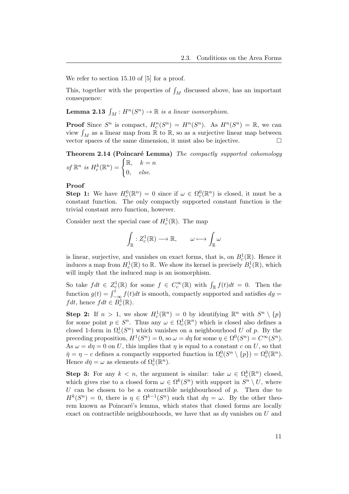We refer to section 15.10 of [\[5\]](#page-48-5) for a proof.

<span id="page-13-0"></span>This, together with the properties of  $\int_M$  discussed above, has an important consequence:

**Lemma 2.13**  $\int_M : H^n(S^n) \to \mathbb{R}$  is a linear isomorphism.

**Proof** Since  $S^n$  is compact,  $H_c^n(S^n) = H^n(S^n)$ . As  $H^n(S^n) = \mathbb{R}$ , we can view  $\int_M$  as a linear map from  $\mathbb R$  to  $\mathbb R,$  so as a surjective linear map between vector spaces of the same dimension, it must also be injective.

Theorem 2.14 (Poincaré Lemma) The compactly supported cohomology of  $\mathbb{R}^n$  is  $H_c^k(\mathbb{R}^n) = \begin{cases} \mathbb{R}, & k = n \\ 0 & \text{else} \end{cases}$ 0, else.

#### Proof

**Step 1:** We have  $H_c^0(\mathbb{R}^n) = 0$  since if  $\omega \in \Omega_c^0(\mathbb{R}^n)$  is closed, it must be a constant function. The only compactly supported constant function is the trivial constant zero function, however.

Consider next the special case of  $H_c^1(\mathbb{R})$ . The map

$$
\int_{\mathbb{R}} : Z_c^1(\mathbb{R}) \longrightarrow \mathbb{R}, \qquad \omega \longmapsto \int_{\mathbb{R}} \omega
$$

is linear, surjective, and vanishes on exact forms, that is, on  $B_c^1(\mathbb{R})$ . Hence it induces a map from  $H_c^1(\mathbb{R})$  to  $\mathbb{R}$ . We show its kernel is precisely  $B_c^1(\mathbb{R})$ , which will imply that the induced map is an isomorphism.

So take  $fdt \in Z_c^1(\mathbb{R})$  for some  $f \in C_c^{\infty}(\mathbb{R})$  with  $\int_{\mathbb{R}} f(t)dt = 0$ . Then the function  $g(t) = \int_{-\infty}^{t} f(t)dt$  is smooth, compactly supported and satisfies  $dg =$ *f dt*, hence  $fdt \in B_c^1(\mathbb{R})$ .

**Step 2:** If  $n > 1$ , we show  $H_c^1(\mathbb{R}^n) = 0$  by identifying  $\mathbb{R}^n$  with  $S^n \setminus \{p\}$ for some point  $p \in S^n$ . Thus any  $\omega \in \Omega_c^1(\mathbb{R}^n)$  which is closed also defines a closed 1-form in  $\Omega_c^1(S^n)$  which vanishes on a neighbourhood U of p. By the preceding proposition,  $H^1(S^n) = 0$ , so  $\omega = d\eta$  for some  $\eta \in \Omega^0(S^n) = C^{\infty}(S^n)$ . As  $\omega = d\eta = 0$  on U, this implies that  $\eta$  is equal to a constant c on U, so that  $\bar{\eta} = \eta - c$  defines a compactly supported function in  $\Omega_c^0(S^n \setminus \{p\}) = \Omega_c^0(\mathbb{R}^n)$ . Hence  $d\bar{\eta} = \omega$  as elements of  $\Omega_c^1(\mathbb{R}^n)$ .

**Step 3:** For any  $k < n$ , the argument is similar: take  $\omega \in \Omega_c^k(\mathbb{R}^n)$  closed, which gives rise to a closed form  $\omega \in \Omega^k(S^n)$  with support in  $S^n \setminus U$ , where U can be chosen to be a contractible neighbourhood of  $p$ . Then due to  $H^k(S^n) = 0$ , there is  $\eta \in \Omega^{k-1}(S^n)$  such that  $d\eta = \omega$ . By the other theorem known as Poincaré's lemma, which states that closed forms are locally exact on contractible neighbourhoods, we have that as  $d\eta$  vanishes on U and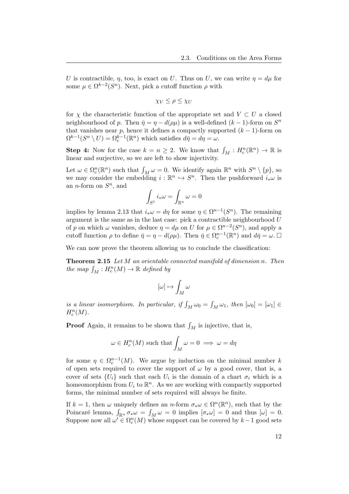U is contractible,  $\eta$ , too, is exact on U. Thus on U, we can write  $\eta = d\mu$  for some  $\mu \in \Omega^{k-2}(S^n)$ . Next, pick a cutoff function  $\rho$  with

$$
\chi_V \le \rho \le \chi_U
$$

for  $\chi$  the characteristic function of the appropriate set and  $V \subset U$  a closed neighbourhood of p. Then  $\bar{\eta} = \eta - d(\rho \mu)$  is a well-defined  $(k-1)$ -form on  $S<sup>n</sup>$ that vanishes near p, hence it defines a compactly supported  $(k-1)$ -form on  $\Omega^{k-1}(S^n \setminus U) = \Omega_c^{k-1}(\mathbb{R}^n)$  which satisfies  $d\bar{\eta} = d\eta = \omega$ .

**Step 4:** Now for the case  $k = n \geq 2$ . We know that  $\int_M : H_c^n(\mathbb{R}^n) \to \mathbb{R}$  is linear and surjective, so we are left to show injectivity.

Let  $\omega \in \Omega_c^n(\mathbb{R}^n)$  such that  $\int_M \omega = 0$ . We identify again  $\mathbb{R}^n$  with  $S^n \setminus \{p\}$ , so we may consider the embedding  $i : \mathbb{R}^n \hookrightarrow S^n$ . Then the pushforward  $i_*\omega$  is an *n*-form on  $S<sup>n</sup>$ , and

$$
\int_{S^1} i_* \omega = \int_{\mathbb{R}^n} \omega = 0
$$

implies by lemma [2.13](#page-13-0) that  $i_*\omega = d\eta$  for some  $\eta \in \Omega^{n-1}(S^n)$ . The remaining argument is the same as in the last case: pick a contractible neighbourhood  $U$ of p on which  $\omega$  vanishes, deduce  $\eta = d\mu$  on U for  $\mu \in \Omega^{n-2}(S^n)$ , and apply a cutoff function  $\rho$  to define  $\bar{\eta} = \eta - d(\rho \mu)$ . Then  $\bar{\eta} \in \Omega_c^{n-1}(\mathbb{R}^n)$  and  $d\bar{\eta} = \omega$ .

We can now prove the theorem allowing us to conclude the classification:

**Theorem 2.15** Let  $M$  an orientable connected manifold of dimension n. Then the map  $\int_M : H_c^n(M) \to \mathbb{R}$  defined by

<span id="page-14-0"></span>
$$
[\omega]\mapsto \int_M\omega
$$

is a linear isomorphism. In particular, if  $\int_M \omega_0 = \int_M \omega_1$ , then  $[\omega_0] = [\omega_1] \in$  $H_c^n(M)$ .

**Proof** Again, it remains to be shown that  $\int_M$  is injective, that is,

$$
\omega \in H_c^n(M)
$$
 such that  $\int_M \omega = 0 \implies \omega = d\eta$ 

for some  $\eta \in \Omega_c^{n-1}(M)$ . We argue by induction on the minimal number k of open sets required to cover the support of  $\omega$  by a good cover, that is, a cover of sets  $\{U_i\}$  such that each  $U_i$  is the domain of a chart  $\sigma_i$  which is a homeomorphism from  $U_i$  to  $\mathbb{R}^n$ . As we are working with compactly supported forms, the minimal number of sets required will always be finite.

If  $k = 1$ , then  $\omega$  uniquely defines an n-form  $\sigma_* \omega \in \Omega^n(\mathbb{R}^n)$ , such that by the Poincaré lemma,  $\int_{\mathbb{R}^n} \sigma_* \omega = \int_M \omega = 0$  implies  $[\sigma_* \omega] = 0$  and thus  $[\omega] = 0$ . Suppose now all  $\omega' \in \Omega_c^n(M)$  whose support can be covered by  $k-1$  good sets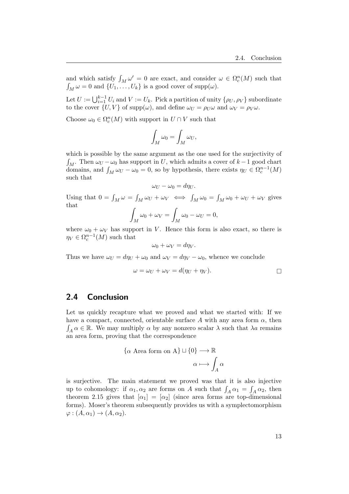and which satisfy  $\int_M \omega' = 0$  are exact, and consider  $\omega \in \Omega_c^n(M)$  such that  $\int_M \omega = 0$  and  $\{U_1, \ldots, U_k\}$  is a good cover of supp $(\omega)$ .

Let  $U := \bigcup_{i=1}^{k-1} U_i$  and  $V := U_k$ . Pick a partition of unity  $\{\rho_U, \rho_V\}$  subordinate to the cover  $\{U, V\}$  of supp $(\omega)$ , and define  $\omega_U = \rho_U \omega$  and  $\omega_V = \rho_V \omega$ .

Choose  $\omega_0 \in \Omega_c^n(M)$  with support in  $U \cap V$  such that

$$
\int_M \omega_0 = \int_M \omega_U,
$$

which is possible by the same argument as the one used for the surjectivity of  $\int_M$ . Then  $\omega_U - \omega_0$  has support in U, which admits a cover of  $k-1$  good chart domains, and  $\int_M \omega_U - \omega_0 = 0$ , so by hypothesis, there exists  $\eta_U \in \Omega_c^{n-1}(M)$ such that

$$
\omega_U - \omega_0 = d\eta_U.
$$

Using that  $0 = \int_M \omega = \int_M \omega_U + \omega_V \iff \int_M \omega_0 = \int_M \omega_0 + \omega_V + \omega_V$  gives that

$$
\int_M \omega_0 + \omega_V = \int_M \omega_0 - \omega_U = 0,
$$

where  $\omega_0 + \omega_V$  has support in V. Hence this form is also exact, so there is  $\eta_V \in \Omega_c^{n-1}(M)$  such that

$$
\omega_0 + \omega_V = d\eta_V.
$$

Thus we have  $\omega_U = d\eta_U + \omega_0$  and  $\omega_V = d\eta_V - \omega_0$ , whence we conclude

$$
\omega = \omega_U + \omega_V = d(\eta_U + \eta_V).
$$

## <span id="page-15-0"></span>2.4 Conclusion

Let us quickly recapture what we proved and what we started with: If we have a compact, connected, orientable surface A with any area form  $\alpha$ , then  $\int_A \alpha \in \mathbb{R}$ . We may multiply  $\alpha$  by any nonzero scalar  $\lambda$  such that  $\lambda a$  remains an area form, proving that the correspondence

$$
\{\alpha \text{ Area form on A}\} \sqcup \{0\} \longrightarrow \mathbb{R}
$$

$$
\alpha \longmapsto \int_A \alpha
$$

is surjective. The main statement we proved was that it is also injective up to cohomology: if  $\alpha_1, \alpha_2$  are forms on A such that  $\int_A \alpha_1 = \int_A \alpha_2$ , then theorem [2.15](#page-14-0) gives that  $\alpha_1 = \alpha_2$  (since area forms are top-dimensional forms). Moser's theorem subsequently provides us with a symplectomorphism  $\varphi: (A, \alpha_1) \to (A, \alpha_2).$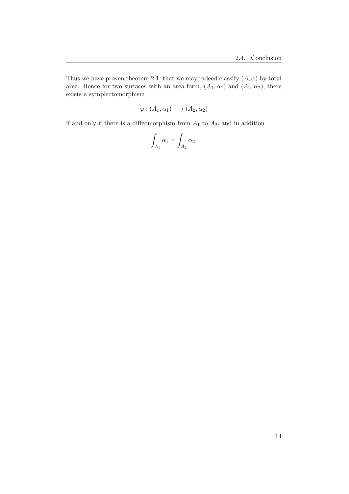Thus we have proven theorem [2.1,](#page-5-1) that we may indeed classify  $(A, \alpha)$  by total area. Hence for two surfaces with an area form,  $(A_1, \alpha_1)$  and  $(A_2, \alpha_2)$ , there exists a symplectomorphism

$$
\varphi : (A_1, \alpha_1) \longrightarrow (A_2, \alpha_2)
$$

if and only if there is a diffeomorphism from  $A_1$  to  $A_2$ , and in addition

$$
\int_{A_1} \alpha_1 = \int_{A_2} \alpha_2.
$$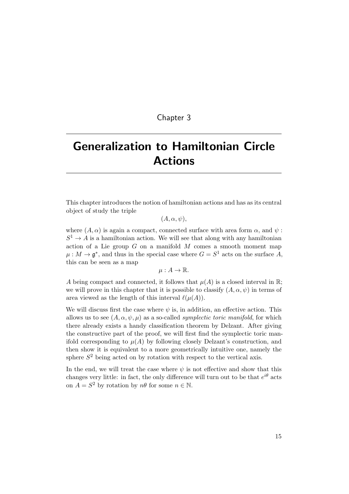## Chapter 3

# <span id="page-17-0"></span>Generalization to Hamiltonian Circle Actions

This chapter introduces the notion of hamiltonian actions and has as its central object of study the triple

 $(A, \alpha, \psi),$ 

where  $(A, \alpha)$  is again a compact, connected surface with area form  $\alpha$ , and  $\psi$ :  $S^1 \to A$  is a hamiltonian action. We will see that along with any hamiltonian action of a Lie group  $G$  on a manifold  $M$  comes a smooth moment map  $\mu: M \to \mathfrak{g}^*$ , and thus in the special case where  $G = S^1$  acts on the surface A, this can be seen as a map

 $\mu: A \to \mathbb{R}$ .

A being compact and connected, it follows that  $\mu(A)$  is a closed interval in R; we will prove in this chapter that it is possible to classify  $(A, \alpha, \psi)$  in terms of area viewed as the length of this interval  $\ell(\mu(A)).$ 

We will discuss first the case where  $\psi$  is, in addition, an effective action. This allows us to see  $(A, \alpha, \psi, \mu)$  as a so-called *symplectic toric manifold*, for which there already exists a handy classification theorem by Delzant. After giving the constructive part of the proof, we will first find the symplectic toric manifold corresponding to  $\mu(A)$  by following closely Delzant's construction, and then show it is equivalent to a more geometrically intuitive one, namely the sphere  $S<sup>2</sup>$  being acted on by rotation with respect to the vertical axis.

In the end, we will treat the case where  $\psi$  is not effective and show that this changes very little: in fact, the only difference will turn out to be that  $e^{i\theta}$  acts on  $A = S^2$  by rotation by  $n\theta$  for some  $n \in \mathbb{N}$ .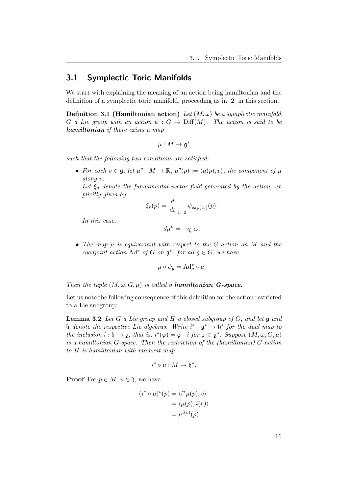## <span id="page-18-0"></span>3.1 Symplectic Toric Manifolds

We start with explaining the meaning of an action being hamiltonian and the definition of a symplectic toric manifold, proceeding as in [\[2\]](#page-48-2) in this section.

**Definition 3.1 (Hamiltonian action)** Let  $(M, \omega)$  be a symplectic manifold, G a Lie group with an action  $\psi : G \to \text{Diff}(M)$ . The action is said to be hamiltonian if there exists a map

$$
\mu:M\to\mathfrak{g}^*
$$

such that the following two conditions are satisfied:

• For each  $v \in \mathfrak{g}$ , let  $\mu^v : M \to \mathbb{R}$ ,  $\mu^v(p) := \langle \mu(p), v \rangle$ , the component of  $\mu$ along v.

Let  $\xi_v$  denote the fundamental vector field generated by the action, explicitly given by

$$
\xi_v(p) = \left. \frac{d}{dt} \right|_{t=0} \psi_{\exp(tv)}(p).
$$

In this case,

$$
d\mu^v = -i_{\xi_v}\omega.
$$

• The map  $\mu$  is equivariant with respect to the G-action on M and the coadjoint action  $\text{Ad}^*$  of G on  $\mathfrak{g}^*$ : for all  $g \in G$ , we have

$$
\mu \circ \psi_g = \mathrm{Ad}_g^* \circ \mu.
$$

Then the tuple  $(M, \omega, G, \mu)$  is called a **hamiltonian G-space**.

<span id="page-18-1"></span>Let us note the following consequence of this definition for the action restricted to a Lie subgroup:

**Lemma 3.2** Let G a Lie group and H a closed subgroup of G, and let  $\mathfrak{g}$  and h denote the respective Lie algebras. Write  $i^* : \mathfrak{g}^* \to \mathfrak{h}^*$  for the dual map to the inclusion  $i : \mathfrak{h} \hookrightarrow \mathfrak{g}$ , that is,  $i^*(\varphi) = \varphi \circ i$  for  $\varphi \in \mathfrak{g}^*$ . Suppose  $(M, \omega, G, \mu)$ is a hamiltonian G-space. Then the restriction of the (hamiltonian) G-action to H is hamiltonian with moment map

$$
i^* \circ \mu : M \to \mathfrak{h}^*.
$$

**Proof** For  $p \in M$ ,  $v \in \mathfrak{h}$ , we have

$$
(i^* \circ \mu)^v(p) = \langle i^* \mu(p), v \rangle
$$
  
=  $\langle \mu(p), i(v) \rangle$   
=  $\mu^{i(v)}(p)$ .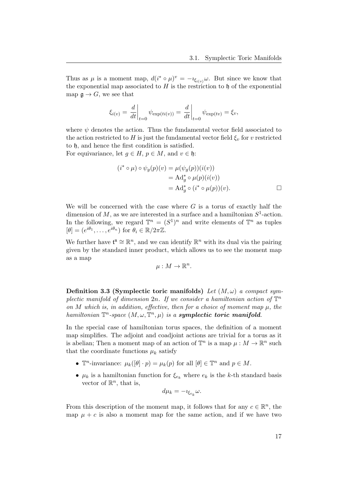Thus as  $\mu$  is a moment map,  $d(i^* \circ \mu)^v = -i_{\xi_{i(v)}}\omega$ . But since we know that the exponential map associated to  $H$  is the restriction to  $\mathfrak h$  of the exponential map  $\mathfrak{g} \to G$ , we see that

$$
\xi_{i(v)} = \frac{d}{dt}\bigg|_{t=0} \psi_{\exp(ti(v))} = \frac{d}{dt}\bigg|_{t=0} \psi_{\exp(tv)} = \xi_v,
$$

where  $\psi$  denotes the action. Thus the fundamental vector field associated to the action restricted to H is just the fundamental vector field  $\xi_v$  for v restricted to h, and hence the first condition is satisfied.

For equivariance, let  $g \in H$ ,  $p \in M$ , and  $v \in \mathfrak{h}$ :

$$
(i^* \circ \mu) \circ \psi_g(p)(v) = \mu(\psi_g(p))(i(v))
$$
  
= Ad<sup>\*</sup><sub>g</sub>  $\circ \mu(p)(i(v))$   
= Ad<sup>\*</sup><sub>g</sub>  $\circ (i^* \circ \mu(p))(v).$ 

We will be concerned with the case where  $G$  is a torus of exactly half the dimension of M, as we are interested in a surface and a hamiltonian  $S^1$ -action. In the following, we regard  $\mathbb{T}^n = (S^1)^n$  and write elements of  $\mathbb{T}^n$  as tuples  $[\theta] = (e^{i\theta_1}, \dots, e^{i\theta_n})$  for  $\theta_i \in \mathbb{R}/2\pi\mathbb{Z}$ .

We further have  $\mathfrak{t}^{\mathfrak{n}} \cong \mathbb{R}^{n}$ , and we can identify  $\mathbb{R}^{n}$  with its dual via the pairing given by the standard inner product, which allows us to see the moment map as a map

$$
\mu: M \to \mathbb{R}^n.
$$

<span id="page-19-0"></span>Definition 3.3 (Symplectic toric manifolds) Let  $(M, \omega)$  a compact symplectic manifold of dimension 2n. If we consider a hamiltonian action of  $\mathbb{T}^n$ on M which is, in addition, effective, then for a choice of moment map  $\mu$ , the hamiltonian  $\mathbb{T}^n$ -space  $(M, \omega, \mathbb{T}^n, \mu)$  is a **symplectic toric manifold**.

In the special case of hamiltonian torus spaces, the definition of a moment map simplifies. The adjoint and coadjoint actions are trivial for a torus as it is abelian; Then a moment map of an action of  $\mathbb{T}^n$  is a map  $\mu : M \to \mathbb{R}^n$  such that the coordinate functions  $\mu_k$  satisfy

- $\mathbb{T}^n$ -invariance:  $\mu_k([\theta] \cdot p) = \mu_k(p)$  for all  $[\theta] \in \mathbb{T}^n$  and  $p \in M$ .
- $\mu_k$  is a hamiltonian function for  $\xi_{e_k}$  where  $e_k$  is the k-th standard basis vector of  $\mathbb{R}^n$ , that is,

$$
d\mu_k = -i_{\xi_{e_k}}\omega.
$$

From this description of the moment map, it follows that for any  $c \in \mathbb{R}^n$ , the map  $\mu + c$  is also a moment map for the same action, and if we have two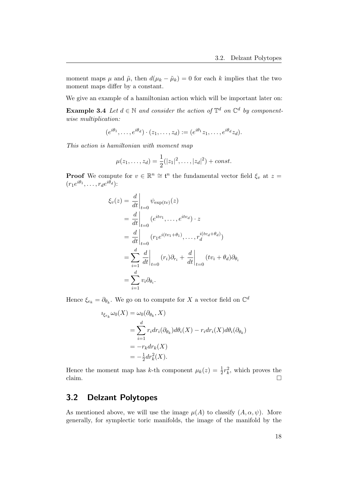moment maps  $\mu$  and  $\tilde{\mu}$ , then  $d(\mu_k - \tilde{\mu}_k) = 0$  for each k implies that the two moment maps differ by a constant.

We give an example of a hamiltonian action which will be important later on:

<span id="page-20-1"></span>**Example 3.4** Let  $d \in \mathbb{N}$  and consider the action of  $\mathbb{T}^d$  on  $\mathbb{C}^d$  by componentwise multiplication:

$$
(e^{i\theta_1},\ldots,e^{i\theta_d})\cdot(z_1,\ldots,z_d):=(e^{i\theta_1}z_1,\ldots,e^{i\theta_d}z_d).
$$

This action is hamiltonian with moment map

$$
\mu(z_1,\ldots,z_d) = \frac{1}{2}(|z_1|^2,\ldots,|z_d|^2) + const.
$$

**Proof** We compute for  $v \in \mathbb{R}^n \cong \mathfrak{t}^n$  the fundamental vector field  $\xi_v$  at  $z =$  $(r_1e^{i\theta_1},\ldots,r_de^{i\theta_d})$ :

$$
\xi_v(z) = \frac{d}{dt}\Big|_{t=0} \psi_{\exp(tv)}(z)
$$
  
\n
$$
= \frac{d}{dt}\Big|_{t=0} (e^{itv_1}, \dots, e^{itv_d}) \cdot z
$$
  
\n
$$
= \frac{d}{dt}\Big|_{t=0} (r_1 e^{i(tv_1 + \theta_1)}, \dots, r_d^{i(tv_d + \theta_d)})
$$
  
\n
$$
= \sum_{i=1}^d \frac{d}{dt}\Big|_{t=0} (r_i)\partial_{r_i} + \frac{d}{dt}\Big|_{t=0} (tv_i + \theta_d)\partial_{\theta_i}
$$
  
\n
$$
= \sum_{i=1}^d v_i \partial_{\theta_i}.
$$

Hence  $\xi_{e_k} = \partial_{\theta_k}$ . We go on to compute for X a vector field on  $\mathbb{C}^d$ 

$$
\iota_{\xi_{e_k}} \omega_0(X) = \omega_0(\partial_{\theta_k}, X)
$$
  
= 
$$
\sum_{i=1}^d r_i dr_i(\partial_{\theta_k}) d\theta_i(X) - r_i dr_i(X) d\theta_i(\partial_{\theta_k})
$$
  
= 
$$
-r_k dr_k(X)
$$
  
= 
$$
-\frac{1}{2} dr_k^2(X).
$$

Hence the moment map has k-th component  $\mu_k(z) = \frac{1}{2}r_k^2$ , which proves the claim.  $\Box$ 

## <span id="page-20-0"></span>3.2 Delzant Polytopes

As mentioned above, we will use the image  $\mu(A)$  to classify  $(A, \alpha, \psi)$ . More generally, for symplectic toric manifolds, the image of the manifold by the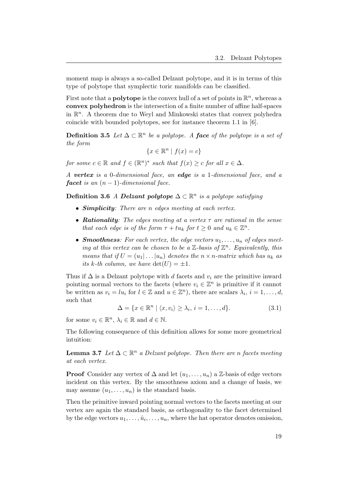moment map is always a so-called Delzant polytope, and it is in terms of this type of polytope that symplectic toric manifolds can be classified.

First note that a **polytope** is the convex hull of a set of points in  $\mathbb{R}^n$ , whereas a convex polyhedron is the intersection of a finite number of affine half-spaces in  $\mathbb{R}^n$ . A theorem due to Weyl and Minkowski states that convex polyhedra coincide with bounded polytopes, see for instance theorem 1.1 in [\[6\]](#page-48-6).

**Definition 3.5** Let  $\Delta \subset \mathbb{R}^n$  be a polytope. A **face** of the polytope is a set of the form

<span id="page-21-1"></span> ${x \in \mathbb{R}^n \mid f(x) = c}$ 

for some  $c \in \mathbb{R}$  and  $f \in (\mathbb{R}^n)^*$  such that  $f(x) \geq c$  for all  $x \in \Delta$ .

A vertex is a 0-dimensional face, an edge is a 1-dimensional face, and a **facet** is an  $(n-1)$ -dimensional face.

Definition 3.6 A Delzant polytope  $\Delta \subset \mathbb{R}^n$  is a polytope satisfying

- Simplicity: There are n edges meeting at each vertex.
- Rationality: The edges meeting at a vertex  $\tau$  are rational in the sense that each edge is of the form  $\tau + tu_k$  for  $t \geq 0$  and  $u_k \in \mathbb{Z}^n$ .
- **Smoothness**: For each vertex, the edge vectors  $u_1, \ldots, u_n$  of edges meeting at this vertex can be chosen to be a  $\mathbb{Z}$ -basis of  $\mathbb{Z}^n$ . Equivalently, this means that if  $U = (u_1 | \dots | u_n)$  denotes the  $n \times n$ -matrix which has  $u_k$  as its k-th column, we have  $\det(U) = \pm 1$ .

Thus if  $\Delta$  is a Delzant polytope with d facets and v<sub>i</sub> are the primitive inward pointing normal vectors to the facets (where  $v_i \in \mathbb{Z}^n$  is primitive if it cannot be written as  $v_i = lu_i$  for  $l \in \mathbb{Z}$  and  $u \in \mathbb{Z}^n$ , there are scalars  $\lambda_i$ ,  $i = 1, ..., d$ , such that

<span id="page-21-2"></span>
$$
\Delta = \{x \in \mathbb{R}^n \mid \langle x, v_i \rangle \ge \lambda_i, i = 1, \dots, d\}.
$$
 (3.1)

for some  $v_i \in \mathbb{R}^n$ ,  $\lambda_i \in \mathbb{R}$  and  $d \in \mathbb{N}$ .

The following consequence of this definition allows for some more geometrical intuition:

<span id="page-21-0"></span>**Lemma 3.7** Let  $\Delta \subset \mathbb{R}^n$  a Delzant polytope. Then there are n facets meeting at each vertex.

**Proof** Consider any vertex of  $\Delta$  and let  $(u_1, \ldots, u_n)$  a  $\mathbb{Z}$ -basis of edge vectors incident on this vertex. By the smoothness axiom and a change of basis, we may assume  $(u_1, \ldots, u_n)$  is the standard basis.

Then the primitive inward pointing normal vectors to the facets meeting at our vertex are again the standard basis, as orthogonality to the facet determined by the edge vectors  $u_1, \ldots, \hat{u}_i, \ldots, u_n$ , where the hat operator denotes omission,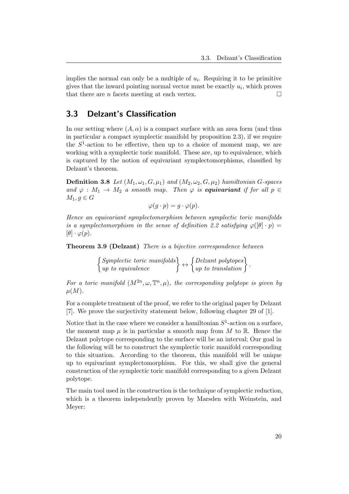implies the normal can only be a multiple of  $u_i$ . Requiring it to be primitive gives that the inward pointing normal vector must be exactly  $u_i$ , which proves that there are *n* facets meeting at each vertex.  $\Box$ 

## <span id="page-22-0"></span>3.3 Delzant's Classification

In our setting where  $(A, \alpha)$  is a compact surface with an area form (and thus in particular a compact symplectic manifold by proposition [2.3\)](#page-6-2), if we require the  $S<sup>1</sup>$ -action to be effective, then up to a choice of moment map, we are working with a symplectic toric manifold. These are, up to equivalence, which is captured by the notion of equivariant symplectomorphisms, classified by Delzant's theorem.

**Definition 3.8** Let  $(M_1, \omega_1, G, \mu_1)$  and  $(M_2, \omega_2, G, \mu_2)$  hamiltonian G-spaces and  $\varphi : M_1 \to M_2$  a smooth map. Then  $\varphi$  is **equivariant** if for all  $p \in$  $M_1, g \in G$ 

$$
\varphi(g \cdot p) = g \cdot \varphi(p).
$$

Hence an equivariant symplectomorphism between symplectic toric manifolds is a symplectomorphism in the sense of definition [2.2](#page-6-3) satisfying  $\varphi([\theta] \cdot p) =$  $[\theta] \cdot \varphi(p)$ .

Theorem 3.9 (Delzant) There is a bijective correspondence between

 $\left\{\begin{array}{l}\text{Symplectic toric manifolds}\\ \text{up to equivalent}\end{array}\right\} \leftrightarrow \left\{\begin{array}{l} \text{Dedzant polytopes}\\ \text{up to translation}\end{array}\right\}.$ 

For a toric manifold  $(M^{2n}, \omega, \mathbb{T}^n, \mu)$ , the corresponding polytope is given by  $\mu(M).$ 

For a complete treatment of the proof, we refer to the original paper by Delzant [\[7\]](#page-48-7). We prove the surjectivity statement below, following chapter 29 of [\[1\]](#page-48-1).

Notice that in the case where we consider a hamiltonian  $S^1$ -action on a surface, the moment map  $\mu$  is in particular a smooth map from M to R. Hence the Delzant polytope corresponding to the surface will be an interval; Our goal in the following will be to construct the symplectic toric manifold corresponding to this situation. According to the theorem, this manifold will be unique up to equivariant symplectomorphism. For this, we shall give the general construction of the symplectic toric manifold corresponding to a given Delzant polytope.

<span id="page-22-1"></span>The main tool used in the construction is the technique of symplectic reduction, which is a theorem independently proven by Marsden with Weinstein, and Meyer: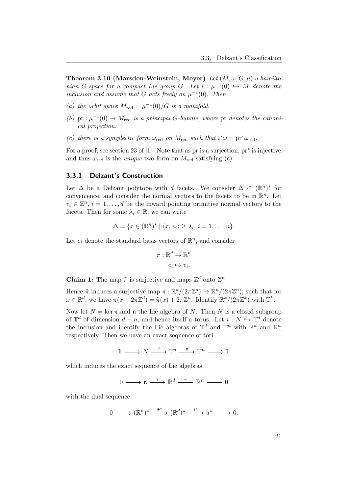Theorem 3.10 (Marsden-Weinstein, Meyer) Let  $(M, \omega, G, \mu)$  a hamiltonian G-space for a compact Lie group G. Let  $i : \mu^{-1}(0) \hookrightarrow M$  denote the inclusion and assume that G acts freely on  $\mu^{-1}(0)$ . Then

- (a) the orbit space  $M_{\text{red}} = \mu^{-1}(0)/G$  is a manifold.
- (b) pr :  $\mu^{-1}(0) \to M_{\text{red}}$  is a principal G-bundle, where pr denotes the canonical projection.
- (c) there is a symplectic form  $\omega_{\text{red}}$  on  $M_{\text{red}}$  such that  $i^*\omega = \text{pr}^*\omega_{\text{red}}$ .

For a proof, see section 23 of [\[1\]](#page-48-1). Note that as pr is a surjection, pr<sup>∗</sup> is injective, and thus  $\omega_{\text{red}}$  is the *unique* two-form on  $M_{\text{red}}$  satisfying (c).

#### <span id="page-23-0"></span>3.3.1 Delzant's Construction

Let  $\Delta$  be a Delzant polytope with d facets. We consider  $\Delta \subset (\mathbb{R}^n)^*$  for convenience, and consider the normal vectors to the facets to be in  $\mathbb{R}^n$ . Let  $v_i \in \mathbb{Z}^n$ ,  $i = 1, ..., d$  be the inward pointing primitive normal vectors to the facets. Then for some  $\lambda_i \in \mathbb{R}$ , we can write

$$
\Delta = \{x \in (\mathbb{R}^n)^* \mid \langle x, v_i \rangle \geq \lambda_i, i = 1, \dots, n\}.
$$

Let  $e_i$  denote the standard basis vectors of  $\mathbb{R}^n$ , and consider

$$
\tilde{\pi}: \mathbb{R}^d \to \mathbb{R}^n
$$

$$
e_i \mapsto v_i.
$$

**Claim 1:** The map  $\tilde{\pi}$  is surjective and maps  $\mathbb{Z}^d$  onto  $\mathbb{Z}^n$ .

Hence  $\tilde{\pi}$  induces a surjective map  $\pi : \mathbb{R}^d / (2\pi \mathbb{Z}^d) \to \mathbb{R}^n / (2\pi \mathbb{Z}^n)$ , such that for  $x \in \mathbb{R}^d$ , we have  $\pi(x + 2\pi \mathbb{Z}^d) = \tilde{\pi}(x) + 2\pi \mathbb{Z}^n$ . Identify  $\mathbb{R}^k/(2\pi \mathbb{Z}^k)$  with  $\mathbb{T}^k$ .

Now let  $N = \ker \pi$  and **n** the Lie algebra of N. Then N is a closed subgroup of  $\mathbb{T}^d$  of dimension  $d-n$ , and hence itself a torus. Let  $i: N \hookrightarrow \mathbb{T}^d$  denote the inclusion and identify the Lie algebras of  $\mathbb{T}^d$  and  $\mathbb{T}^n$  with  $\mathbb{R}^d$  and  $\mathbb{R}^n$ , respectively. Then we have an exact sequence of tori

 $\mathbbm{1}\longrightarrow N\stackrel{i}{\longrightarrow}\mathbbm{T}^d\stackrel{\pi}{\longrightarrow}\mathbbm{T}^n\longrightarrow\mathbbm{1}$ 

which induces the exact sequence of Lie algebras

 $0 \longrightarrow \mathfrak{n} \stackrel{i}{\longrightarrow} \mathbb{R}^d \stackrel{\tilde{\pi}}{\longrightarrow} \mathbb{R}^n \longrightarrow 0$ 

with the dual sequence

$$
0 \longrightarrow (\mathbb{R}^n)^* \stackrel{\tilde{\pi}^*}{\longrightarrow} (\mathbb{R}^d)^* \stackrel{i^*}{\longrightarrow} \mathfrak{n}^* \longrightarrow 0.
$$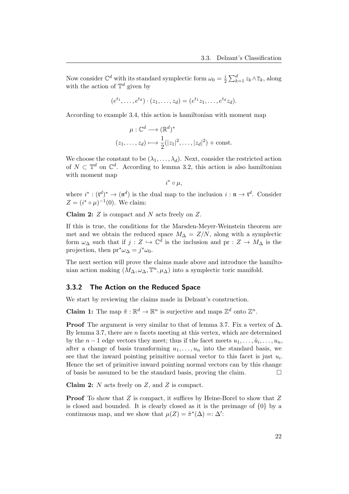Now consider  $\mathbb{C}^d$  with its standard symplectic form  $\omega_0 = \frac{i}{2}$  $\frac{i}{2} \sum_{k=1}^{d} z_k \wedge \overline{z}_k$ , along with the action of  $\mathbb{T}^d$  given by

$$
(e^{t_1}, \ldots, e^{t_d}) \cdot (z_1, \ldots, z_d) = (e^{t_1}z_1, \ldots, e^{t_d}z_d).
$$

According to example [3.4,](#page-20-1) this action is hamiltonian with moment map

$$
\mu: \mathbb{C}^d \longrightarrow (\mathbb{R}^d)^*
$$
  

$$
(z_1, \dots, z_d) \longmapsto \frac{1}{2}(|z_1|^2, \dots, |z_d|^2) + \text{const.}
$$

We choose the constant to be  $(\lambda_1, \ldots, \lambda_d)$ . Next, consider the restricted action of  $N \subset \mathbb{T}^d$  on  $\mathbb{C}^d$ . According to lemma [3.2,](#page-18-1) this action is also hamiltonian with moment map

$$
i^* \circ \mu,
$$

where  $i^*: (\mathfrak{t}^d)^* \to (\mathfrak{n}^d)$  is the dual map to the inclusion  $i: \mathfrak{n} \to \mathfrak{t}^d$ . Consider  $Z = (i^* \circ \mu)^{-1}(0)$ . We claim:

**Claim 2:**  $Z$  is compact and  $N$  acts freely on  $Z$ .

If this is true, the conditions for the Marsden-Meyer-Weinstein theorem are met and we obtain the reduced space  $M_{\Delta} = Z/N$ , along with a symplectic form  $\omega_{\Delta}$  such that if  $j: Z \hookrightarrow \mathbb{C}^d$  is the inclusion and pr :  $Z \to M_{\Delta}$  is the projection, then  $pr^*\omega_{\Delta} = j^*\omega_0$ .

The next section will prove the claims made above and introduce the hamiltonian action making  $(M_{\Delta}, \omega_{\Delta}, \mathbb{T}^n, \mu_{\Delta})$  into a symplectic toric manifold.

#### <span id="page-24-0"></span>3.3.2 The Action on the Reduced Space

We start by reviewing the claims made in Delzant's construction.

**Claim 1:** The map  $\tilde{\pi}: \mathbb{R}^d \to \mathbb{R}^n$  is surjective and maps  $\mathbb{Z}^d$  onto  $\mathbb{Z}^n$ .

**Proof** The argument is very similar to that of lemma [3.7.](#page-21-0) Fix a vertex of  $\Delta$ . By lemma [3.7,](#page-21-0) there are  $n$  facets meeting at this vertex, which are determined by the  $n-1$  edge vectors they meet; thus if the facet meets  $u_1, \ldots, \hat{u}_i, \ldots, u_n$ , after a change of basis transforming  $u_1, \ldots, u_n$  into the standard basis, we see that the inward pointing primitive normal vector to this facet is just  $u_i$ . Hence the set of primitive inward pointing normal vectors can by this change of basis be assumed to be the standard basis, proving the claim.  $\Box$ 

**Claim 2:**  $N$  acts freely on  $Z$ , and  $Z$  is compact.

<span id="page-24-1"></span>**Proof** To show that Z is compact, it suffices by Heine-Borel to show that Z is closed and bounded. It is clearly closed as it is the preimage of  $\{0\}$  by a continuous map, and we show that  $\mu(Z) = \tilde{\pi}^*(\Delta) =: \Delta'$ :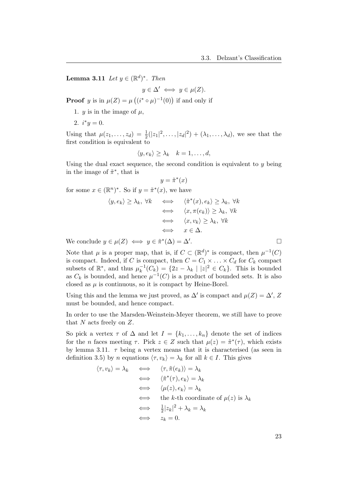**Lemma 3.11** Let  $y \in (\mathbb{R}^d)^*$ . Then

 $y \in \Delta' \iff y \in \mu(Z).$ 

**Proof** y is in  $\mu(Z) = \mu((i^* \circ \mu)^{-1}(0))$  if and only if

- 1.  $y$  is in the image of  $\mu$ ,
- 2.  $i^*y = 0$ .

Using that  $\mu(z_1,...,z_d) = \frac{1}{2}(|z_1|^2,...,|z_d|^2) + (\lambda_1,...,\lambda_d)$ , we see that the first condition is equivalent to

$$
\langle y, e_k \rangle \geq \lambda_k \quad k = 1, \dots, d,
$$

Using the dual exact sequence, the second condition is equivalent to  $\gamma$  being in the image of  $\tilde{\pi}^*$ , that is

$$
y = \tilde{\pi}^*(x)
$$

for some  $x \in (\mathbb{R}^n)^*$ . So if  $y = \tilde{\pi}^*(x)$ , we have

$$
\langle y, e_k \rangle \geq \lambda_k, \forall k \iff \langle \tilde{\pi}^*(x), e_k \rangle \geq \lambda_k, \forall k
$$
  

$$
\iff \langle x, \pi(e_k) \rangle \geq \lambda_k, \forall k
$$
  

$$
\iff \langle x, v_k \rangle \geq \lambda_k, \forall k
$$
  

$$
\iff x \in \Delta.
$$
  

$$
\in \mu(Z) \iff y \in \tilde{\pi}^*(\Delta) = \Delta'.
$$

We conclude  $y \in \mu(Z) \iff y \in \tilde{\pi}^*(\Delta) = \Delta'$ 

Note that  $\mu$  is a proper map, that is, if  $C \subset (\mathbb{R}^d)^*$  is compact, then  $\mu^{-1}(C)$ is compact. Indeed, if C is compact, then  $C = C_1 \times \ldots \times C_d$  for  $C_k$  compact subsets of  $\mathbb{R}^*$ , and thus  $\mu_k^{-1}$  $\binom{-1}{k} = \{2z - \lambda_k \mid |z|^2 \in C_k\}.$  This is bounded as  $C_k$  is bounded, and hence  $\mu^{-1}(C)$  is a product of bounded sets. It is also closed as  $\mu$  is continuous, so it is compact by Heine-Borel.

Using this and the lemma we just proved, as  $\Delta'$  is compact and  $\mu(Z) = \Delta'$ , Z must be bounded, and hence compact.

In order to use the Marsden-Weinstein-Meyer theorem, we still have to prove that  $N$  acts freely on  $Z$ .

So pick a vertex  $\tau$  of  $\Delta$  and let  $I = \{k_1, \ldots, k_n\}$  denote the set of indices for the *n* faces meeting  $\tau$ . Pick  $z \in Z$  such that  $\mu(z) = \tilde{\pi}^*(\tau)$ , which exists by lemma [3.11.](#page-24-1)  $\tau$  being a vertex means that it is characterised (as seen in definition [3.5\)](#page-21-1) by n equations  $\langle \tau, v_k \rangle = \lambda_k$  for all  $k \in I$ . This gives

$$
\langle \tau, v_k \rangle = \lambda_k \iff \langle \tau, \tilde{\pi}(e_k) \rangle = \lambda_k
$$
  
\n
$$
\iff \langle \tilde{\pi}^*(\tau), e_k \rangle = \lambda_k
$$
  
\n
$$
\iff \langle \mu(z), e_k \rangle = \lambda_k
$$
  
\n
$$
\iff \text{the } k \text{-th coordinate of } \mu(z) \text{ is } \lambda_k
$$
  
\n
$$
\iff \frac{1}{2} |z_k|^2 + \lambda_k = \lambda_k
$$
  
\n
$$
\iff z_k = 0.
$$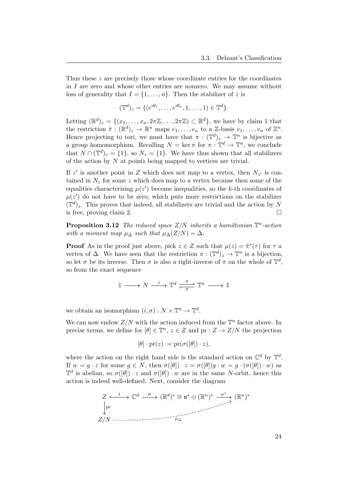Thus these z are precisely those whose coordinate entries for the coordinates in  $I$  are zero and whose other entries are nonzero. We may assume without loss of generality that  $I = \{1, \ldots, n\}$ . Then the stabilizer of z is

$$
(\mathbb{T}^d)_z = \{ (e^{i\theta_1}, \dots, e^{i\theta_n}, 1, \dots, 1) \in \mathbb{T}^d \}.
$$

Letting  $(\mathbb{R}^d)_z = \{(x_1, \ldots, x_n, 2\pi \mathbb{Z}, \ldots, 2\pi \mathbb{Z}) \subset \mathbb{R}^d\}$ , we have by claim 1 that the restriction  $\tilde{\pi}: (\mathbb{R}^d)_z \to \mathbb{R}^n$  maps  $e_1, \ldots, e_n$  to a Z-basis  $v_1, \ldots, v_n$  of  $\mathbb{Z}^n$ . Hence projecting to tori, we must have that  $\pi : (\mathbb{T}^d)_z \to \mathbb{T}^n$  is bijective as a group homomorphism. Recalling  $N = \ker \pi$  for  $\pi : \mathbb{T}^d \to \mathbb{T}^n$ , we conclude that  $N \cap (\mathbb{T}^d)_z = \{1\}$ , so  $N_z = \{1\}$ . We have thus shown that all stabilizers of the action by  $N$  at points being mapped to vertices are trivial.

If z' is another point in Z which does not map to a vertex, then  $N_{z'}$  is contained in  $N_z$  for some z which does map to a vertex because then some of the equalities characterising  $\mu(z')$  become inequalities, so the k-th coordinates of  $\mu(z')$  do not have to be zero, which puts more restrictions on the stabilizer  $(\mathbb{T}^d)_z$ . This proves that indeed, all stabilizers are trivial and the action by N is free, proving claim 2.  $\Box$ 

**Proposition 3.12** The reduced space  $Z/N$  inherits a hamiltonian  $\mathbb{T}^n$ -action with a moment map  $\mu_{\Delta}$  such that  $\mu_{\Delta}(Z/N) = \Delta$ .

**Proof** As in the proof just above, pick  $z \in Z$  such that  $\mu(z) = \tilde{\pi}^*(\tau)$  for  $\tau$  a vertex of  $\Delta$ . We have seen that the restriction  $\pi : (\mathbb{T}^d)_z \to \mathbb{T}^n$  is a bijection, so let  $\sigma$  be its inverse. Then  $\sigma$  is also a right-inverse of  $\pi$  on the whole of  $\mathbb{T}^d$ , so from the exact sequence

$$
\mathbbm{1}\longrightarrow N\stackrel{i}{\longrightarrow}\mathbbm{T}^d\stackrel{\pi}{\underset{\sigma}{\longleftarrow}}\mathbbm{T}^n\stackrel{}{\longrightarrow}\mathbbm{1}
$$

we obtain an isomorphism  $(i, \sigma) : N \times \mathbb{T}^n \to \mathbb{T}^d$ .

We can now endow  $Z/N$  with the action induced from the  $\mathbb{T}^n$  factor above. In precise terms, we define for  $[\theta] \in \mathbb{T}^n$ ,  $z \in Z$  and  $\text{pr} : Z \to Z/N$  the projection

$$
[\theta] \cdot \mathrm{pr}(z) := \mathrm{pr}(\sigma([\theta]) \cdot z),
$$

where the action on the right hand side is the standard action on  $\mathbb{C}^d$  by  $\mathbb{T}^d$ . If  $w = q \cdot z$  for some  $q \in N$ , then  $\sigma([\theta]) \cdot z = \sigma([\theta])q \cdot w = q \cdot (\sigma([\theta]) \cdot w)$  as  $\mathbb{T}^d$  is abelian, so  $\sigma([\theta]) \cdot z$  and  $\sigma([\theta]) \cdot w$  are in the same N-orbit, hence this action is indeed well-defined. Next, consider the diagram

Z C d (R d ) <sup>∗</sup> ∼= n <sup>∗</sup> ⊕ (R n ) ∗ (R n ) ∗ Z/N j pr µ σ ∗ µ<sup>∆</sup>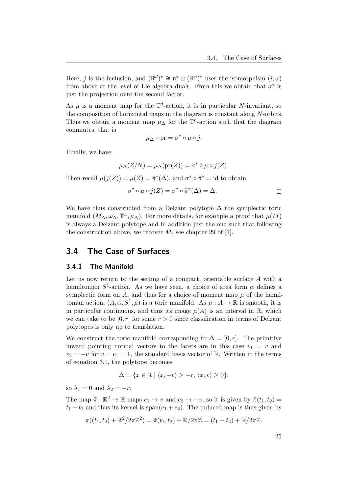Here, j is the inclusion, and  $(\mathbb{R}^d)^* \cong \mathfrak{n}^* \oplus (\mathbb{R}^n)^*$  uses the isomorphism  $(i, \sigma)$ from above at the level of Lie algebra duals. From this we obtain that  $\sigma^*$  is just the projection onto the second factor.

As  $\mu$  is a moment map for the  $\mathbb{T}^d$ -action, it is in particular N-invariant, so the composition of horizontal maps in the diagram is constant along N-orbits. Thus we obtain a moment map  $\mu_{\Delta}$  for the  $\mathbb{T}^n$ -action such that the diagram commutes, that is

$$
\mu_{\Delta} \circ \mathrm{pr} = \sigma^* \circ \mu \circ j.
$$

Finally, we have

$$
\mu_{\Delta}(Z/N) = \mu_{\Delta}(\mathrm{pr}(Z)) = \sigma^* \circ \mu \circ j(Z).
$$

Then recall  $\mu(j(Z)) = \mu(Z) = \tilde{\pi}^*(\Delta)$ , and  $\sigma^* \circ \tilde{\pi}^* = id$  to obtain

$$
\sigma^* \circ \mu \circ j(Z) = \sigma^* \circ \tilde{\pi}^*(\Delta) = \Delta.
$$

We have thus constructed from a Delzant polytope  $\Delta$  the symplectic toric manifold  $(M_\Delta, \omega_\Delta, \mathbb{T}^n, \mu_\Delta)$ . For more details, for example a proof that  $\mu(M)$ is always a Delzant polytope and in addition just the one such that following the construction above, we recover  $M$ , see chapter 29 of [\[1\]](#page-48-1).

## <span id="page-27-0"></span>3.4 The Case of Surfaces

#### <span id="page-27-1"></span>3.4.1 The Manifold

Let us now return to the setting of a compact, orientable surface A with a hamiltonian  $S^1$ -action. As we have seen, a choice of area form  $\alpha$  defines a symplectic form on A, and thus for a choice of moment map  $\mu$  of the hamiltonian action,  $(A, \alpha, S^1, \mu)$  is a toric manifold. As  $\mu : A \to \mathbb{R}$  is smooth, it is in particular continuous, and thus its image  $\mu(A)$  is an interval in R, which we can take to be  $[0, r]$  for some  $r > 0$  since classification in terms of Delzant polytopes is only up to translation.

We construct the toric manifold corresponding to  $\Delta = [0, r]$ . The primitive inward pointing normal vectors to the facets are in this case  $v_1 = v$  and  $v_2 = -v$  for  $v = e_1 = 1$ , the standard basis vector of R. Written in the terms of equation [3.1,](#page-21-2) the polytope becomes

$$
\Delta = \{x \in \mathbb{R} \mid \langle x, -v \rangle \ge -r, \langle x, v \rangle \ge 0\},\
$$

so  $\lambda_1 = 0$  and  $\lambda_2 = -r$ .

The map  $\tilde{\pi}: \mathbb{R}^2 \to \mathbb{R}$  maps  $e_1 \mapsto v$  and  $e_2 \mapsto -v$ , so it is given by  $\tilde{\pi}(t_1, t_2) =$  $t_1 - t_2$  and thus its kernel is span $(e_1 + e_2)$ . The induced map is thus given by

$$
\pi((t_1, t_2) + \mathbb{R}^2/2\pi\mathbb{Z}^2) = \tilde{\pi}(t_1, t_2) + \mathbb{R}/2\pi\mathbb{Z} = (t_1 - t_2) + \mathbb{R}/2\pi\mathbb{Z}.
$$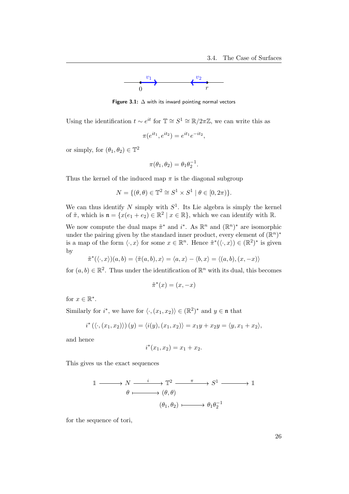

Figure 3.1:  $\Delta$  with its inward pointing normal vectors

Using the identification  $t \sim e^{it}$  for  $\mathbb{T} \cong S^1 \cong \mathbb{R}/2\pi\mathbb{Z}$ , we can write this as

$$
\pi(e^{it_1}, e^{it_2}) = e^{it_1}e^{-it_2},
$$

or simply, for  $(\theta_1, \theta_2) \in \mathbb{T}^2$ 

$$
\pi(\theta_1, \theta_2) = \theta_1 \theta_2^{-1}.
$$

Thus the kernel of the induced map  $\pi$  is the diagonal subgroup

$$
N = \{(\theta, \theta) \in \mathbb{T}^2 \cong S^1 \times S^1 \mid \theta \in [0, 2\pi)\}.
$$

We can thus identify N simply with  $S^1$ . Its Lie algebra is simply the kernel of  $\tilde{\pi}$ , which is  $\mathfrak{n} = \{x(e_1 + e_2) \in \mathbb{R}^2 \mid x \in \mathbb{R}\}$ , which we can identify with  $\mathbb{R}$ .

We now compute the dual maps  $\tilde{\pi}^*$  and  $i^*$ . As  $\mathbb{R}^n$  and  $(\mathbb{R}^n)^*$  are isomorphic under the pairing given by the standard inner product, every element of  $(\mathbb{R}^n)^*$ is a map of the form  $\langle \cdot, x \rangle$  for some  $x \in \mathbb{R}^n$ . Hence  $\tilde{\pi}^*(\langle \cdot, x \rangle) \in (\mathbb{R}^2)^*$  is given by

$$
\tilde{\pi}^*(\langle \cdot, x \rangle)(a,b) = \langle \tilde{\pi}(a,b), x \rangle = \langle a, x \rangle - \langle b, x \rangle = \langle (a,b), (x,-x) \rangle
$$

for  $(a, b) \in \mathbb{R}^2$ . Thus under the identification of  $\mathbb{R}^n$  with its dual, this becomes

$$
\tilde{\pi}^*(x) = (x, -x)
$$

for  $x \in \mathbb{R}^*$ .

Similarly for  $i^*$ , we have for  $\langle \cdot, (x_1, x_2) \rangle \in (\mathbb{R}^2)^*$  and  $y \in \mathfrak{n}$  that

$$
i^{\ast}\left(\langle \cdot,\left(x_{1},x_{2}\right)\rangle\right)(y)=\langle i(y),\left(x_{1},x_{2}\right)\rangle=x_{1}y+x_{2}y=\langle y,x_{1}+x_{2}\rangle,
$$

and hence

$$
i^*(x_1, x_2) = x_1 + x_2.
$$

This gives us the exact sequences

$$
\begin{array}{ccc}\n\mathbb{1} & \longrightarrow N \longrightarrow \begin{array}{c}\n\mathbb{1} & \longrightarrow T^2 \longrightarrow \pi \longrightarrow S^1 \longrightarrow \mathbb{1} \\
\theta & \longmapsto (\theta, \theta) \\
\end{array}\n\end{array}
$$
\n
$$
\begin{array}{ccc}\n(\theta_1, \theta_2) & \longmapsto \theta_1 \theta_2^{-1}\n\end{array}
$$

for the sequence of tori,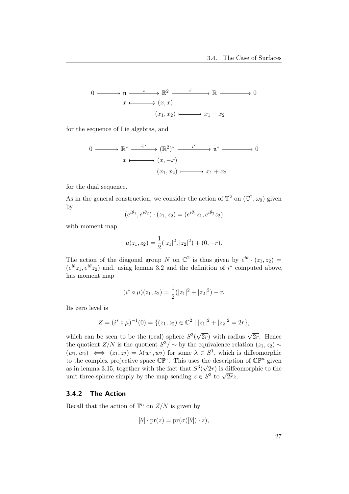$$
0 \longrightarrow n \xrightarrow{i} \mathbb{R}^2 \xrightarrow{\tilde{\pi}} \mathbb{R} \longrightarrow 0
$$
  

$$
x \longmapsto (x, x)
$$
  

$$
(x_1, x_2) \longmapsto x_1 - x_2
$$

for the sequence of Lie algebras, and

$$
0 \longrightarrow \mathbb{R}^* \longrightarrow \tilde{\pi}^* \longrightarrow (\mathbb{R}^2)^* \longrightarrow \tilde{\pi}^* \longrightarrow \mathfrak{n}^* \longrightarrow 0
$$
  

$$
x \longmapsto (x, -x)
$$
  

$$
(x_1, x_2) \longmapsto x_1 + x_2
$$

for the dual sequence.

As in the general construction, we consider the action of  $\mathbb{T}^2$  on  $(\mathbb{C}^2, \omega_0)$  given by

$$
(e^{i\theta_1}, e^{i\theta_2}) \cdot (z_1, z_2) = (e^{i\theta_1}z_1, e^{i\theta_2}z_2)
$$

with moment map

$$
\mu(z_1, z_2) = \frac{1}{2}(|z_1|^2, |z_2|^2) + (0, -r).
$$

The action of the diagonal group N on  $\mathbb{C}^2$  is thus given by  $e^{i\theta} \cdot (z_1, z_2) =$  $(e^{i\theta}z_1, e^{i\theta}z_2)$  and, using lemma [3.2](#page-18-1) and the definition of  $i^*$  computed above, has moment map

$$
(i^* \circ \mu)(z_1, z_2) = \frac{1}{2}(|z_1|^2 + |z_2|^2) - r.
$$

Its zero level is

$$
Z = (i^* \circ \mu)^{-1}(0) = \{ (z_1, z_2) \in \mathbb{C}^2 \mid |z_1|^2 + |z_2|^2 = 2r \},\
$$

which can be seen to be the (real) sphere  $S^3($  $\sqrt{2r}$ ) with radius  $\sqrt{2r}$ . Hence the quotient  $Z/N$  is the quotient  $S^3/\sim$  by the equivalence relation  $(z_1, z_2) \sim$  $(w_1, w_2) \iff (z_1, z_2) = \lambda(w_1, w_2)$  for some  $\lambda \in S^1$ , which is diffeomorphic to the complex projective space  $\mathbb{CP}^1$ . This uses the description of  $\mathbb{CP}^n$  given as in lemma [3.15,](#page-31-0) together with the fact that  $S^3(\sqrt{2r})$  is diffeomorphic to the as in lemma 5.15, together with the lact that  $5^{\circ}(\sqrt{2r})$  is different simply by the map sending  $z \in S^3$  to  $\sqrt{2rz}$ .

#### <span id="page-29-0"></span>3.4.2 The Action

Recall that the action of  $\mathbb{T}^n$  on  $Z/N$  is given by

$$
[\theta] \cdot \mathrm{pr}(z) = \mathrm{pr}(\sigma([\theta]) \cdot z),
$$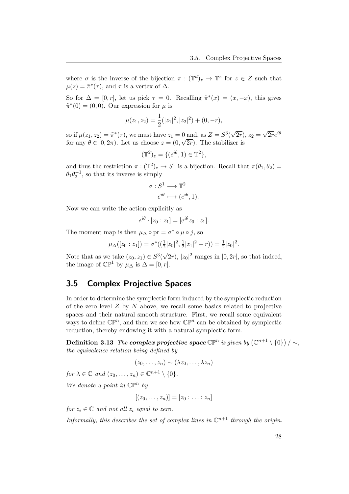where  $\sigma$  is the inverse of the bijection  $\pi : (\mathbb{T}^d)_z \to \mathbb{T}^z$  for  $z \in Z$  such that  $\mu(z) = \tilde{\pi}^*(\tau)$ , and  $\tau$  is a vertex of  $\Delta$ .

So for  $\Delta = [0, r]$ , let us pick  $\tau = 0$ . Recalling  $\tilde{\pi}^*(x) = (x, -x)$ , this gives  $\tilde{\pi}^*(0) = (0,0)$ . Our expression for  $\mu$  is

$$
\mu(z_1, z_2) = \frac{1}{2}(|z_1|^2, |z_2|^2) + (0, -r),
$$

so if  $\mu(z_1, z_2) = \tilde{\pi}^*(\tau)$ , we must have  $z_1 = 0$  and, as  $Z = S^3$ √  $(2r), z_2 =$ 0 and, as  $Z = S^3(\sqrt{2r}), z_2 = \sqrt{2r}e^{i\theta}$ for any  $\theta \in [0, 2\pi)$ . Let us choose  $z = (0, \sqrt{2r})$ . The stabilizer is

$$
(\mathbb{T}^2)_z = \{ (e^{i\theta}, 1) \in \mathbb{T}^2 \},
$$

and thus the restriction  $\pi : (\mathbb{T}^2)_z \to S^1$  is a bijection. Recall that  $\pi(\theta_1, \theta_2) =$  $\theta_1 \theta_2^{-1}$ , so that its inverse is simply

$$
\sigma: S^1 \longrightarrow \mathbb{T}^2
$$

$$
e^{i\theta} \longmapsto (e^{i\theta}, 1).
$$

Now we can write the action explicitly as

$$
e^{i\theta} \cdot [z_0 : z_1] = [e^{i\theta} z_0 : z_1].
$$

The moment map is then  $\mu_{\Delta} \circ pr = \sigma^* \circ \mu \circ j$ , so

$$
\mu_{\Delta}([z_0:z_1]) = \sigma^*((\frac{1}{2}|z_0|^2, \frac{1}{2}|z_1|^2 - r)) = \frac{1}{2}|z_0|^2.
$$

Note that as we take  $(z_0, z_1) \in S^3$  $\overline{(2r)}$ ,  $|z_0|^2$  ranges in  $[0, 2r]$ , so that indeed, the image of  $\mathbb{CP}^1$  by  $\mu_{\Delta}$  is  $\Delta = [0, r]$ .

## <span id="page-30-0"></span>3.5 Complex Projective Spaces

In order to determine the symplectic form induced by the symplectic reduction of the zero level  $Z$  by  $N$  above, we recall some basics related to projective spaces and their natural smooth structure. First, we recall some equivalent ways to define  $\mathbb{CP}^n$ , and then we see how  $\mathbb{CP}^n$  can be obtained by symplectic reduction, thereby endowing it with a natural symplectic form.

Definition 3.13 The complex projective space  $\mathbb{CP}^n$  is given by  $(\mathbb{C}^{n+1} \setminus \{0\}) \setminus \sim$ , the equivalence relation being defined by

$$
(z_0,\ldots,z_n)\sim(\lambda z_0,\ldots,\lambda z_n)
$$

for  $\lambda \in \mathbb{C}$  and  $(z_0, \ldots, z_n) \in \mathbb{C}^{n+1} \setminus \{0\}.$ 

We denote a point in  $\mathbb{CP}^n$  by

$$
[(z_0,\ldots,z_n)]=[z_0:\ldots:z_n]
$$

for  $z_i \in \mathbb{C}$  and not all  $z_i$  equal to zero.

Informally, this describes the set of complex lines in  $\mathbb{C}^{n+1}$  through the origin.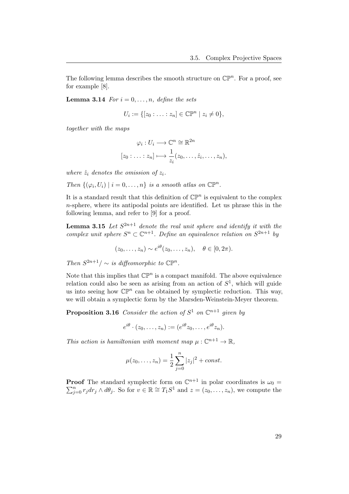The following lemma describes the smooth structure on  $\mathbb{CP}^n$ . For a proof, see for example [\[8\]](#page-48-8).

**Lemma 3.14** For  $i = 0, \ldots, n$ , define the sets

<span id="page-31-2"></span>
$$
U_i := \{ [z_0 : \ldots : z_n] \in \mathbb{CP}^n \mid z_i \neq 0 \},\
$$

together with the maps

$$
\varphi_i: U_i \longrightarrow \mathbb{C}^n \cong \mathbb{R}^{2n}
$$

$$
[z_0: \ldots: z_n] \longmapsto \frac{1}{z_i}(z_0, \ldots, \hat{z}_i, \ldots, z_n),
$$

where  $\hat{z}_i$  denotes the omission of  $z_i$ .

Then  $\{(\varphi_i, U_i) \mid i = 0, \ldots, n\}$  is a smooth atlas on  $\mathbb{C}\mathbb{P}^n$ .

It is a standard result that this definition of  $\mathbb{CP}^n$  is equivalent to the complex n-sphere, where its antipodal points are identified. Let us phrase this in the following lemma, and refer to [\[9\]](#page-48-9) for a proof.

**Lemma 3.15** Let  $S^{2n+1}$  denote the real unit sphere and identify it with the complex unit sphere  $S^n \subset \mathbb{C}^{n+1}$ . Define an equivalence relation on  $S^{2n+1}$  by

<span id="page-31-0"></span>
$$
(z_0, \ldots, z_n) \sim e^{i\theta}(z_0, \ldots, z_n), \quad \theta \in [0, 2\pi).
$$

Then  $S^{2n+1}/\sim$  is diffeomorphic to  $\mathbb{CP}^n$ .

Note that this implies that  $\mathbb{CP}^n$  is a compact manifold. The above equivalence relation could also be seen as arising from an action of  $S<sup>1</sup>$ , which will guide us into seeing how  $\mathbb{CP}^n$  can be obtained by symplectic reduction. This way, we will obtain a symplectic form by the Marsden-Weinstein-Meyer theorem.

**Proposition 3.16** Consider the action of  $S^1$  on  $\mathbb{C}^{n+1}$  given by

<span id="page-31-1"></span>
$$
e^{i\theta} \cdot (z_0, \dots, z_n) := (e^{i\theta} z_0, \dots, e^{i\theta} z_n).
$$

This action is hamiltonian with moment map  $\mu: \mathbb{C}^{n+1} \to \mathbb{R}$ ,

$$
\mu(z_0, \dots, z_n) = \frac{1}{2} \sum_{j=0}^n |z_j|^2 + const.
$$

**Proof** The standard symplectic form on  $\mathbb{C}^{n+1}$  in polar coordinates is  $\omega_0 =$  $\sum_{j=0}^{n} r_j dr_j \wedge d\theta_j$ . So for  $v \in \mathbb{R} \cong T_1S^1$  and  $z = (z_0, \ldots, z_n)$ , we compute the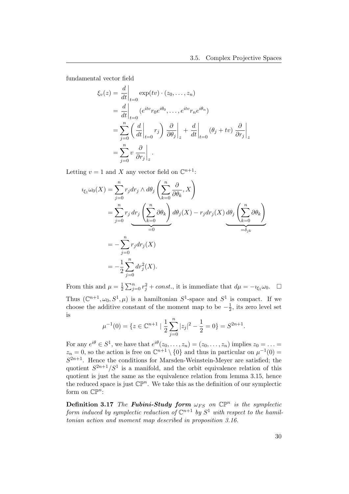fundamental vector field

$$
\xi_v(z) = \frac{d}{dt}\Big|_{t=0} \exp(tv) \cdot (z_0, \dots, z_n)
$$
  
\n
$$
= \frac{d}{dt}\Big|_{t=0} (e^{itv}r_0e^{i\theta_0}, \dots, e^{itv}r_ne^{i\theta_n})
$$
  
\n
$$
= \sum_{j=0}^n \left(\frac{d}{dt}\Big|_{t=0}r_j\right) \frac{\partial}{\partial \theta_j}\Big|_z + \frac{d}{dt}\Big|_{t=0} (\theta_j + tv) \frac{\partial}{\partial r_j}\Big|_z
$$
  
\n
$$
= \sum_{j=0}^n v \frac{\partial}{\partial r_j}\Big|_z.
$$

Letting  $v = 1$  and X any vector field on  $\mathbb{C}^{n+1}$ :

$$
i_{\xi_1}\omega_0(X) = \sum_{j=0}^n r_j dr_j \wedge d\theta_j \left(\sum_{k=0}^n \frac{\partial}{\partial \theta_k}, X\right)
$$
  
= 
$$
\sum_{j=0}^n r_j dr_j \left(\sum_{k=0}^n \partial \theta_k\right) d\theta_j(X) - r_j dr_j(X) d\theta_j \left(\sum_{k=0}^n \partial \theta_k\right)
$$
  
= 
$$
-\sum_{j=0}^n r_j dr_j(X)
$$
  
= 
$$
-\frac{1}{2} \sum_{j=0}^n dr_j^2(X).
$$

From this and  $\mu = \frac{1}{2}$  $\frac{1}{2}\sum_{j=0}^{n} r_j^2 + const.$ , it is immediate that  $d\mu = -i_{\xi_1}\omega_0$ .  $\Box$ Thus  $(\mathbb{C}^{n+1}, \omega_0, S^1, \mu)$  is a hamiltonian  $S^1$ -space and  $S^1$  is compact. If we choose the additive constant of the moment map to be  $-\frac{1}{2}$  $\frac{1}{2}$ , its zero level set is

$$
\mu^{-1}(0) = \{ z \in \mathbb{C}^{n+1} \mid \frac{1}{2} \sum_{j=0}^{n} |z_j|^2 - \frac{1}{2} = 0 \} = S^{2n+1}.
$$

For any  $e^{i\theta} \in S^1$ , we have that  $e^{i\theta}(z_0,\ldots,z_n)=(z_0,\ldots,z_n)$  implies  $z_0=\ldots=$  $z_n = 0$ , so the action is free on  $\mathbb{C}^{n+1} \setminus \{0\}$  and thus in particular on  $\mu^{-1}(0) =$  $S^{2n+1}$ . Hence the conditions for Marsden-Weinstein-Meyer are satisfied; the quotient  $S^{2n+1}/S^1$  is a manifold, and the orbit equivalence relation of this quotient is just the same as the equivalence relation from lemma [3.15,](#page-31-0) hence the reduced space is just  $\mathbb{CP}^n$ . We take this as the definition of our symplectic form on  $\mathbb{CP}^n$ :

**Definition 3.17** The **Fubini-Study form**  $\omega_{FS}$  on  $\mathbb{CP}^n$  is the symplectic form induced by symplectic reduction of  $\mathbb{C}^{n+1}$  by  $S^1$  with respect to the hamiltonian action and moment map described in proposition [3.16.](#page-31-1)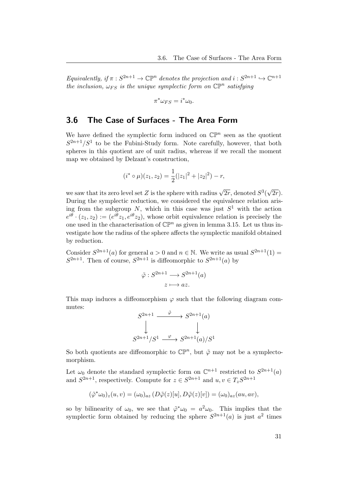Equivalently, if  $\pi : S^{2n+1} \to \mathbb{CP}^n$  denotes the projection and  $i : S^{2n+1} \to \mathbb{C}^{n+1}$ the inclusion,  $\omega_{FS}$  is the unique symplectic form on  $\mathbb{CP}^n$  satisfying

$$
\pi^* \omega_{FS} = i^* \omega_0.
$$

## <span id="page-33-0"></span>3.6 The Case of Surfaces - The Area Form

We have defined the symplectic form induced on  $\mathbb{CP}^n$  seen as the quotient  $S^{2n+1}/S^1$  to be the Fubini-Study form. Note carefully, however, that both spheres in this quotient are of unit radius, whereas if we recall the moment map we obtained by Delzant's construction,

$$
(i^* \circ \mu)(z_1, z_2) = \frac{1}{2}(|z_1|^2 + |z_2|^2) - r,
$$

we saw that its zero level set Z is the sphere with radius  $\sqrt{2r}$ , denoted  $S^3$ √  $(2r).$ During the symplectic reduction, we considered the equivalence relation arising from the subgroup N, which in this case was just  $S<sup>1</sup>$  with the action  $e^{i\theta} \cdot (z_1, z_2) := (e^{i\theta} z_1, e^{i\theta} z_2)$ , whose orbit equivalence relation is precisely the one used in the characterisation of  $\mathbb{CP}^n$  as given in lemma [3.15.](#page-31-0) Let us thus investigate how the radius of the sphere affects the symplectic manifold obtained by reduction.

Consider  $S^{2n+1}(a)$  for general  $a > 0$  and  $n \in \mathbb{N}$ . We write as usual  $S^{2n+1}(1) =$  $S^{2n+1}$ . Then of course,  $S^{2n+1}$  is diffeomorphic to  $S^{2n+1}(a)$  by

$$
\tilde{\varphi}: S^{2n+1} \longrightarrow S^{2n+1}(a)
$$

$$
z \longmapsto az.
$$

This map induces a diffeomorphism  $\varphi$  such that the following diagram commutes:

$$
S^{2n+1} \xrightarrow{\tilde{\varphi}} S^{2n+1}(a)
$$
  
\n
$$
\downarrow \qquad \qquad \downarrow
$$
  
\n
$$
S^{2n+1}/S^1 \xrightarrow{\varphi} S^{2n+1}(a)/S^1
$$

So both quotients are diffeomorphic to  $\mathbb{CP}^n$ , but  $\tilde{\varphi}$  may not be a symplectomorphism.

Let  $\omega_0$  denote the standard symplectic form on  $\mathbb{C}^{n+1}$  restricted to  $S^{2n+1}(a)$ and  $S^{2n+1}$ , respectively. Compute for  $z \in S^{2n+1}$  and  $u, v \in T_z S^{2n+1}$ 

$$
(\tilde{\varphi}^*\omega_0)_z(u,v) = (\omega_0)_{az} (D\tilde{\varphi}(z)[u], D\tilde{\varphi}(z)[v]) = (\omega_0)_{az}(au, av),
$$

so by bilinearity of  $\omega_0$ , we see that  $\tilde{\varphi}^* \omega_0 = a^2 \omega_0$ . This implies that the symplectic form obtained by reducing the sphere  $S^{2n+1}(a)$  is just  $a^2$  times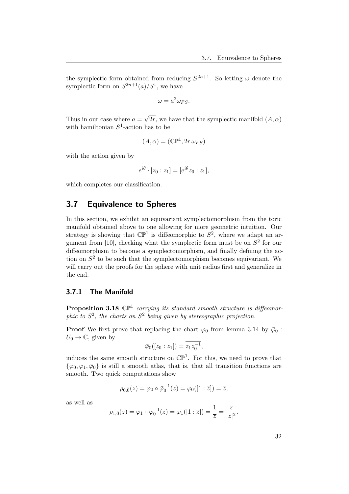the symplectic form obtained from reducing  $S^{2n+1}$ . So letting  $\omega$  denote the symplectic form on  $S^{2n+1}(a)/S^1$ , we have

$$
\omega = a^2 \omega_{FS}.
$$

Thus in our case where  $a =$ √  $2r$ , we have that the symplectic manifold  $(A, \alpha)$ with hamiltonian  $S^1$ -action has to be

$$
(A,\alpha) = (\mathbb{CP}^1, 2r \,\omega_{FS})
$$

with the action given by

$$
e^{i\theta} \cdot [z_0 : z_1] = [e^{i\theta} z_0 : z_1],
$$

which completes our classification.

## <span id="page-34-0"></span>3.7 Equivalence to Spheres

In this section, we exhibit an equivariant symplectomorphism from the toric manifold obtained above to one allowing for more geometric intuition. Our strategy is showing that  $\mathbb{CP}^1$  is diffeomorphic to  $S^2$ , where we adapt an ar-gument from [\[10\]](#page-48-10), checking what the symplectic form must be on  $S<sup>2</sup>$  for our diffeomorphism to become a symplectomorphism, and finally defining the action on  $S<sup>2</sup>$  to be such that the symplectomorphism becomes equivariant. We will carry out the proofs for the sphere with unit radius first and generalize in the end.

### <span id="page-34-2"></span><span id="page-34-1"></span>3.7.1 The Manifold

**Proposition 3.18**  $\mathbb{CP}^1$  carrying its standard smooth structure is diffeomorphic to  $S^2$ , the charts on  $S^2$  being given by stereographic projection.

**Proof** We first prove that replacing the chart  $\varphi_0$  from lemma [3.14](#page-31-2) by  $\bar{\varphi}_0$ :  $U_0 \rightarrow \mathbb{C}$ , given by

$$
\bar{\varphi}_0([z_0:z_1]) = \overline{z_1 z_0^{-1}},
$$

induces the same smooth structure on  $\mathbb{CP}^1$ . For this, we need to prove that  $\{\varphi_0, \varphi_1, \bar{\varphi}_0\}$  is still a smooth atlas, that is, that all transition functions are smooth. Two quick computations show

$$
\rho_{0,\overline{0}}(z) = \varphi_0 \circ \overline{\varphi}_0^{-1}(z) = \varphi_0([1:\overline{z}]) = \overline{z},
$$

as well as

$$
\rho_{1,\bar{0}}(z) = \varphi_1 \circ \bar{\varphi}_0^{-1}(z) = \varphi_1([1:\bar{z}]) = \frac{1}{\bar{z}} = \frac{z}{|z|^2}.
$$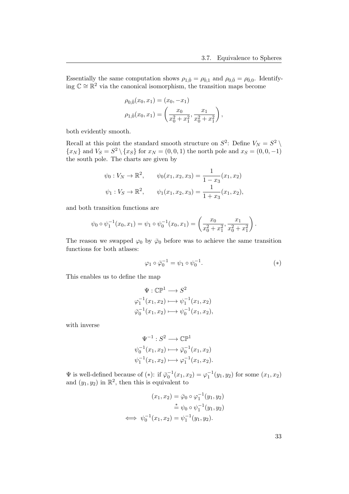Essentially the same computation shows  $\rho_{1,\bar{0}} = \rho_{\bar{0},1}$  and  $\rho_{0,\bar{0}} = \rho_{\bar{0},0}$ . Identifying  $\mathbb{C} \cong \mathbb{R}^2$  via the canonical isomorphism, the transition maps become

$$
\rho_{0,\bar{0}}(x_0, x_1) = (x_0, -x_1)
$$
  

$$
\rho_{1,\bar{0}}(x_0, x_1) = \left(\frac{x_0}{x_0^2 + x_1^2}, \frac{x_1}{x_0^2 + x_1^2}\right),
$$

both evidently smooth.

Recall at this point the standard smooth structure on  $S^2$ : Define  $V_N = S^2 \setminus$  ${x_N}$  and  $V_S = S^2 \setminus {x_S}$  for  $x_N = (0, 0, 1)$  the north pole and  $x_S = (0, 0, -1)$ the south pole. The charts are given by

$$
\psi_0: V_N \to \mathbb{R}^2
$$
,  $\psi_0(x_1, x_2, x_3) = \frac{1}{1 - x_3}(x_1, x_2)$   
\n $\psi_1: V_S \to \mathbb{R}^2$ ,  $\psi_1(x_1, x_2, x_3) = \frac{1}{1 + x_3}(x_1, x_2)$ ,

and both transition functions are

$$
\psi_0 \circ \psi_1^{-1}(x_0, x_1) = \psi_1 \circ \psi_0^{-1}(x_0, x_1) = \left(\frac{x_0}{x_0^2 + x_1^2}, \frac{x_1}{x_0^2 + x_1^2}\right).
$$

The reason we swapped  $\varphi_0$  by  $\bar{\varphi}_0$  before was to achieve the same transition functions for both atlases:

$$
\varphi_1 \circ \bar{\varphi}_0^{-1} = \psi_1 \circ \psi_0^{-1}.\tag{*}
$$

This enables us to define the map

$$
\Psi: \mathbb{CP}^1 \longrightarrow S^2
$$
  
\n
$$
\varphi_1^{-1}(x_1, x_2) \longmapsto \psi_1^{-1}(x_1, x_2)
$$
  
\n
$$
\bar{\varphi}_0^{-1}(x_1, x_2) \longmapsto \psi_0^{-1}(x_1, x_2),
$$

with inverse

$$
\Psi^{-1}: S^2 \longrightarrow \mathbb{CP}^1
$$
  
\n
$$
\psi_0^{-1}(x_1, x_2) \longmapsto \overline{\varphi}_0^{-1}(x_1, x_2)
$$
  
\n
$$
\psi_1^{-1}(x_1, x_2) \longmapsto \varphi_1^{-1}(x_1, x_2).
$$

 $\Psi$  is well-defined because of (\*): if  $\overline{\varphi}_0^{-1}(x_1, x_2) = \varphi_1^{-1}(y_1, y_2)$  for some  $(x_1, x_2)$ and  $(y_1, y_2)$  in  $\mathbb{R}^2$ , then this is equivalent to

$$
(x_1, x_2) = \bar{\varphi}_0 \circ \varphi_1^{-1}(y_1, y_2)
$$
  
\n
$$
\stackrel{*}{=} \psi_0 \circ \psi_1^{-1}(y_1, y_2)
$$
  
\n
$$
\iff \psi_0^{-1}(x_1, x_2) = \psi_1^{-1}(y_1, y_2).
$$

33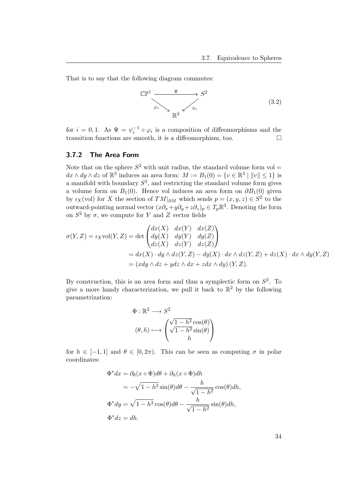That is to say that the following diagram commutes:

<span id="page-36-1"></span>
$$
\mathbb{CP}^1 \xrightarrow{\Psi} S^2
$$
\n
$$
\varphi_i \searrow \psi_i
$$
\n
$$
\mathbb{R}^2 \swarrow \psi_i
$$
\n(3.2)

for  $i = 0, 1$ . As  $\Psi = \psi_i^{-1} \circ \varphi_i$  is a composition of diffeomorphisms and the transition functions are smooth, it is a diffeomorphism, too.  $\Box$ 

#### <span id="page-36-0"></span>3.7.2 The Area Form

Note that on the sphere  $S^2$  with unit radius, the standard volume form vol =  $dx \wedge dy \wedge dz$  of  $\mathbb{R}^3$  induces an area form:  $M := B_1(0) = \{v \in \mathbb{R}^3 \mid ||v|| \leq 1\}$  is a manifold with boundary  $S^2$ , and restricting the standard volume form gives a volume form on  $B_1(0)$ . Hence vol induces an area form on  $\partial B_1(0)$  given by  $i_X(\text{vol})$  for X the section of  $TM|_{\partial M}$  which sends  $p = (x, y, z) \in S^2$  to the outward-pointing normal vector  $(x\partial_x+y\partial_y+z\partial_z)_p \in T_p\mathbb{R}^3$ . Denoting the form on  $S^2$  by  $\sigma$ , we compute for Y and Z vector fields

$$
\sigma(Y, Z) = i_X \text{vol}(Y, Z) = \det \begin{pmatrix} dx(X) & dx(Y) & dx(Z) \\ dy(X) & dy(Y) & dy(Z) \\ dz(X) & dz(Y) & dz(Z) \end{pmatrix}
$$
  
=  $dx(X) \cdot dy \wedge dz(Y, Z) - dy(X) \cdot dx \wedge dz(Y, Z) + dz(X) \cdot dx \wedge dy(Y, Z)$   
=  $(xdy \wedge dz + ydz \wedge dx + zdx \wedge dy) (Y, Z).$ 

By construction, this is an area form and thus a symplectic form on  $S^2$ . To give a more handy characterization, we pull it back to  $\mathbb{R}^2$  by the following parametrization:

$$
\Phi : \mathbb{R}^2 \longrightarrow S^2
$$

$$
(\theta, h) \longmapsto \begin{pmatrix} \sqrt{1 - h^2} \cos(\theta) \\ \sqrt{1 - h^2} \sin(\theta) \\ h \end{pmatrix}
$$

for  $h \in [-1, 1]$  and  $\theta \in [0, 2\pi)$ . This can be seen as computing  $\sigma$  in polar coordinates:

$$
\Phi^* dx = \partial_\theta (x \circ \Phi) d\theta + \partial_h (x \circ \Phi) dh
$$
  
=  $-\sqrt{1 - h^2} \sin(\theta) d\theta - \frac{h}{\sqrt{1 - h^2}} \cos(\theta) dh$ ,  

$$
\Phi^* dy = \sqrt{1 - h^2} \cos(\theta) d\theta - \frac{h}{\sqrt{1 - h^2}} \sin(\theta) dh
$$
,  

$$
\Phi^* dz = dh.
$$

34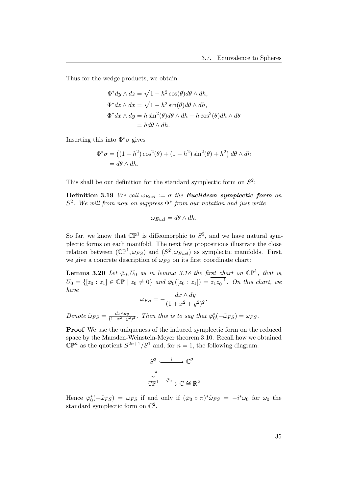Thus for the wedge products, we obtain

$$
\Phi^* dy \wedge dz = \sqrt{1 - h^2} \cos(\theta) d\theta \wedge dh,
$$
  
\n
$$
\Phi^* dz \wedge dx = \sqrt{1 - h^2} \sin(\theta) d\theta \wedge dh,
$$
  
\n
$$
\Phi^* dx \wedge dy = h \sin^2(\theta) d\theta \wedge dh - h \cos^2(\theta) dh \wedge d\theta
$$
  
\n
$$
= hd\theta \wedge dh.
$$

Inserting this into  $\Phi^*\sigma$  gives

$$
\Phi^*\sigma = ((1-h^2)\cos^2(\theta) + (1-h^2)\sin^2(\theta) + h^2) d\theta \wedge dh
$$
  
=  $d\theta \wedge dh$ .

This shall be our definition for the standard symplectic form on  $S^2$ :

Definition 3.19 We call  $\omega_{Eucl} := \sigma$  the Euclidean symplectic form on  $S^2$ . We will from now on suppress  $\Phi^*$  from our notation and just write

$$
\omega_{Eucl} = d\theta \wedge dh.
$$

So far, we know that  $\mathbb{CP}^1$  is diffeomorphic to  $S^2$ , and we have natural symplectic forms on each manifold. The next few propositions illustrate the close relation between  $(\mathbb{CP}^1, \omega_{FS})$  and  $(S^2, \omega_{Eucl})$  as symplectic manifolds. First, we give a concrete description of  $\omega_{FS}$  on its first coordinate chart:

<span id="page-37-0"></span>**Lemma 3.20** Let  $\bar{\varphi}_0$ ,  $U_0$  as in lemma [3.18](#page-34-2) the first chart on  $\mathbb{CP}^1$ , that is,  $U_0 = \{ [z_0 : z_1] \in \mathbb{CP} \mid z_0 \neq 0 \}$  and  $\overline{\varphi}_0([z_0 : z_1]) = z_1 z_0^{-1}$ . On this chart, we have

$$
\omega_{FS} = -\frac{dx \wedge dy}{(1 + x^2 + y^2)^2}.
$$

Denote  $\tilde{\omega}_{FS} = \frac{dx \wedge dy}{(1 + x^2 + y^2)}$  $\frac{dx \wedge dy}{(1+x^2+y^2)^2}$ . Then this is to say that  $\bar{\varphi}_0^*(-\tilde{\omega}_{FS}) = \omega_{FS}$ .

Proof We use the uniqueness of the induced symplectic form on the reduced space by the Marsden-Weinstein-Meyer theorem [3.10.](#page-22-1) Recall how we obtained  $\mathbb{CP}^n$  as the quotient  $S^{2n+1}/S^1$  and, for  $n=1$ , the following diagram:

$$
S^3 \xrightarrow{i} \mathbb{C}^2
$$

$$
\downarrow^{\pi}
$$

$$
\mathbb{CP}^1 \xrightarrow{\bar{\varphi}_0} \mathbb{C} \cong \mathbb{R}^2
$$

Hence  $\bar{\varphi}_0^*(-\tilde{\omega}_{FS}) = \omega_{FS}$  if and only if  $(\bar{\varphi}_0 \circ \pi)^*\tilde{\omega}_{FS} = -i^*\omega_0$  for  $\omega_0$  the standard symplectic form on  $\mathbb{C}^2$ .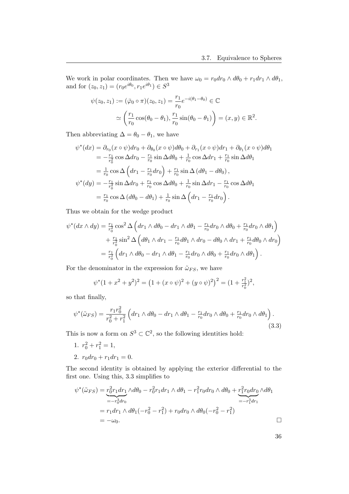We work in polar coordinates. Then we have  $\omega_0 = r_0 dr_0 \wedge d\theta_0 + r_1 dr_1 \wedge d\theta_1$ , and for  $(z_0, z_1) = (r_0 e^{i\theta_0}, r_1 e^{i\theta_1}) \in S^3$ 

$$
\psi(z_0, z_1) := (\bar{\varphi}_0 \circ \pi)(z_0, z_1) = \frac{r_1}{r_0} e^{-i(\theta_1 - \theta_0)} \in \mathbb{C}
$$

$$
\simeq \left(\frac{r_1}{r_0} \cos(\theta_0 - \theta_1), \frac{r_1}{r_0} \sin(\theta_0 - \theta_1)\right) = (x, y) \in \mathbb{R}^2.
$$

Then abbreviating  $\Delta = \theta_0 - \theta_1$ , we have

$$
\psi^*(dx) = \partial_{r_0}(x \circ \psi) dr_0 + \partial_{\theta_0}(x \circ \psi) d\theta_0 + \partial_{r_1}(x \circ \psi) dr_1 + \partial_{\theta_1}(x \circ \psi) d\theta_1
$$
  
\n
$$
= -\frac{r_1}{r_0^2} \cos \Delta dr_0 - \frac{r_1}{r_0} \sin \Delta d\theta_0 + \frac{1}{r_0} \cos \Delta dr_1 + \frac{r_1}{r_0} \sin \Delta d\theta_1
$$
  
\n
$$
= \frac{1}{r_0} \cos \Delta \left( dr_1 - \frac{r_1}{r_0} dr_0 \right) + \frac{r_1}{r_0} \sin \Delta \left( d\theta_1 - d\theta_0 \right),
$$
  
\n
$$
\psi^*(dy) = -\frac{r_1}{r_0^2} \sin \Delta dr_0 + \frac{r_1}{r_0} \cos \Delta d\theta_0 + \frac{1}{r_0} \sin \Delta dr_1 - \frac{r_1}{r_0} \cos \Delta d\theta_1
$$
  
\n
$$
= \frac{r_1}{r_0} \cos \Delta \left( d\theta_0 - d\theta_1 \right) + \frac{1}{r_0} \sin \Delta \left( dr_1 - \frac{r_1}{r_0} dr_0 \right).
$$

Thus we obtain for the wedge product

$$
\psi^*(dx \wedge dy) = \frac{r_1}{r_0^2} \cos^2 \Delta \left( dr_1 \wedge d\theta_0 - dr_1 \wedge d\theta_1 - \frac{r_1}{r_0} dr_0 \wedge d\theta_0 + \frac{r_1}{r_0} dr_0 \wedge d\theta_1 \right) \n+ \frac{r_1}{r_0^2} \sin^2 \Delta \left( d\theta_1 \wedge dr_1 - \frac{r_1}{r_0} d\theta_1 \wedge dr_0 - d\theta_0 \wedge dr_1 + \frac{r_1}{r_0} d\theta_0 \wedge dr_0 \right) \n= \frac{r_1}{r_0^2} \left( dr_1 \wedge d\theta_0 - dr_1 \wedge d\theta_1 - \frac{r_1}{r_0} dr_0 \wedge d\theta_0 + \frac{r_1}{r_0} dr_0 \wedge d\theta_1 \right).
$$

For the denominator in the expression for  $\tilde{\omega}_{FS}$ , we have

$$
\psi^*(1+x^2+y^2)^2 = \left(1+(x\circ\psi)^2+(y\circ\psi)^2\right)^2 = \left(1+\frac{r_1^2}{r_0^2}\right)^2,
$$

so that finally,

<span id="page-38-0"></span>
$$
\psi^*(\tilde{\omega}_{FS}) = \frac{r_1 r_0^2}{r_0^2 + r_1^2} \left( dr_1 \wedge d\theta_0 - dr_1 \wedge d\theta_1 - \frac{r_1}{r_0} dr_0 \wedge d\theta_0 + \frac{r_1}{r_0} dr_0 \wedge d\theta_1 \right). \tag{3.3}
$$

This is now a form on  $S^3 \subset \mathbb{C}^2$ , so the following identities hold:

- 1.  $r_0^2 + r_1^2 = 1$ ,
- 2.  $r_0 dr_0 + r_1 dr_1 = 0$ .

The second identity is obtained by applying the exterior differential to the first one. Using this, [3.3](#page-38-0) simplifies to

$$
\psi^*(\tilde{\omega}_{FS}) = \underbrace{r_0^2 r_1 dr_1}_{=-r_0^3 dr_0} \wedge d\theta_0 - r_0^2 r_1 dr_1 \wedge d\theta_1 - r_1^2 r_0 dr_0 \wedge d\theta_0 + \underbrace{r_1^2 r_0 dr_0}_{=-r_1^3 dr_1} \wedge d\theta_1
$$
\n
$$
= r_1 dr_1 \wedge d\theta_1 (-r_0^2 - r_1^2) + r_0 dr_0 \wedge d\theta_0 (-r_0^2 - r_1^2)
$$
\n
$$
= -\omega_0.
$$

36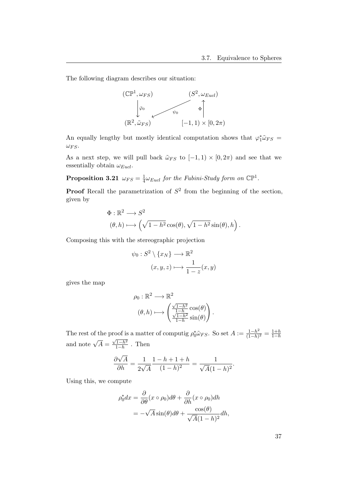The following diagram describes our situation:



An equally lengthy but mostly identical computation shows that  $\varphi_1^* \tilde{\omega}_{FS} =$  $\omega_{FS}$ .

As a next step, we will pull back  $\tilde{\omega}_{FS}$  to  $[-1,1) \times [0,2\pi)$  and see that we essentially obtain  $\omega_{Eucl}$ .

Proposition 3.21  $\omega_{FS} = \frac{1}{4}$  $\frac{1}{4}\omega_{Eucl}$  for the Fubini-Study form on  $\mathbb{CP}^1$ .

**Proof** Recall the parametrization of  $S^2$  from the beginning of the section, given by

$$
\Phi : \mathbb{R}^2 \longrightarrow S^2
$$
  

$$
(\theta, h) \longmapsto \left(\sqrt{1 - h^2} \cos(\theta), \sqrt{1 - h^2} \sin(\theta), h\right).
$$

Composing this with the stereographic projection

$$
\psi_0: S^2 \setminus \{x_N\} \longrightarrow \mathbb{R}^2
$$

$$
(x, y, z) \longmapsto \frac{1}{1-z}(x, y)
$$

gives the map

$$
\rho_0 : \mathbb{R}^2 \longrightarrow \mathbb{R}^2
$$

$$
(\theta, h) \longmapsto \begin{pmatrix} \frac{\sqrt{1-h^2}}{1-h} \cos(\theta) \\ \frac{\sqrt{1-h^2}}{1-h} \sin(\theta) \end{pmatrix}.
$$

The rest of the proof is a matter of computig  $\rho_0^* \tilde{\omega}_{FS}$ . So set  $A := \frac{1-h^2}{(1-h)}$  $\frac{1-h^2}{(1-h)^2} = \frac{1+h}{1-h}$ and note  $\sqrt{A} =$  $\sqrt{1-h^2}$  $\frac{1-h^2}{1-h}$ . Then

$$
\frac{\partial \sqrt{A}}{\partial h} = \frac{1}{2\sqrt{A}} \frac{1 - h + 1 + h}{(1 - h)^2} = \frac{1}{\sqrt{A}(1 - h)^2}.
$$

Using this, we compute

$$
\rho_0^* dx = \frac{\partial}{\partial \theta} (x \circ \rho_0) d\theta + \frac{\partial}{\partial h} (x \circ \rho_0) dh
$$
  
=  $-\sqrt{A} \sin(\theta) d\theta + \frac{\cos(\theta)}{\sqrt{A}(1-h)^2} dh$ ,

37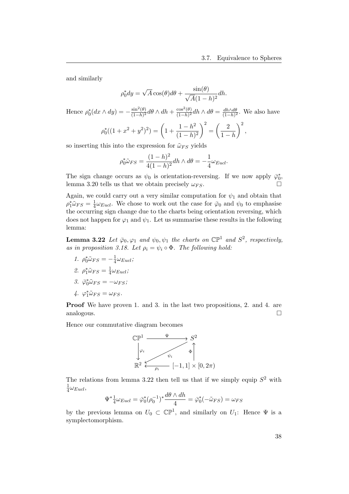and similarly

$$
\rho_0^* dy = \sqrt{A} \cos(\theta) d\theta + \frac{\sin(\theta)}{\sqrt{A}(1-h)^2} dh.
$$

Hence  $\rho_0^*(dx \wedge dy) = -\frac{\sin^2(\theta)}{(1-h)^2}$  $\frac{\sin^2(\theta)}{(1-h)^2}$ dθ ∧ dh +  $\frac{\cos^2(\theta)}{(1-h)^2}$  $\frac{\cos^2(\theta)}{(1-h)^2}dh\wedge d\theta = \frac{dh\wedge d\theta}{(1-h)^2}$  $\frac{dn\wedge d\theta}{(1-h)^2}$ . We also have ∗  $(2+y^2)^2 = \left(1+\frac{1-h^2}{(1-1)^2}\right)^2 = \left(\frac{2}{1-h^2}\right)^2$ 

$$
\rho_0^*((1+x^2+y^2)^2) = \left(1+\frac{1}{(1-h)^2}\right) = \left(\frac{1}{1-h}\right) ,
$$

so inserting this into the expression for  $\tilde{\omega}_{FS}$  yields

$$
\rho_0^* \tilde{\omega}_{FS} = \frac{(1-h)^2}{4(1-h)^2} dh \wedge d\theta = -\frac{1}{4} \omega_{Eucl}.
$$

The sign change occurs as  $\psi_0$  is orientation-reversing. If we now apply  $\bar{\varphi}_0^*$ , lemma [3.20](#page-37-0) tells us that we obtain precisely  $\omega_{FS}$ .

Again, we could carry out a very similar computation for  $\psi_1$  and obtain that  $\rho_1^*\tilde{\omega}_{FS}=\frac{1}{4}$  $\frac{1}{4}\omega_{Eucl}$ . We chose to work out the case for  $\bar{\varphi}_0$  and  $\psi_0$  to emphasise the occurring sign change due to the charts being orientation reversing, which does not happen for  $\varphi_1$  and  $\psi_1$ . Let us summarise these results in the following lemma:

<span id="page-40-0"></span>**Lemma 3.22** Let  $\bar{\varphi}_0, \varphi_1$  and  $\psi_0, \psi_1$  the charts on  $\mathbb{CP}^1$  and  $S^2$ , respectively, as in proposition [3.18.](#page-34-2) Let  $\rho_i = \psi_i \circ \Phi$ . The following hold:

1.  $\rho_0^* \tilde{\omega}_{FS} = -\frac{1}{4}$  $\frac{1}{4}\omega_{Eucl}$  ;

$$
\mathcal{Q}. \ \ \rho_1^* \tilde{\omega}_{FS} = \frac{1}{4} \omega_{Eucl};
$$

$$
\mathcal{S}.\ \ \bar{\varphi}_0^* \tilde{\omega}_{FS} = -\omega_{FS};
$$

$$
4. \varphi_1^* \tilde{\omega}_{FS} = \omega_{FS}.
$$

Proof We have proven 1. and 3. in the last two propositions, 2. and 4. are analogous.

Hence our commutative diagram becomes



The relations from lemma [3.22](#page-40-0) then tell us that if we simply equip  $S^2$  with 1  $rac{1}{4}\omega_{Eucl},$ 

$$
\Psi^* \frac{1}{4} \omega_{Eucl} = \bar{\varphi}_0^* (\rho_0^{-1})^* \frac{d\theta \wedge dh}{4} = \bar{\varphi}_0^* (-\tilde{\omega}_{FS}) = \omega_{FS}
$$

by the previous lemma on  $U_0 \subset \mathbb{CP}^1$ , and similarly on  $U_1$ : Hence  $\Psi$  is a symplectomorphism.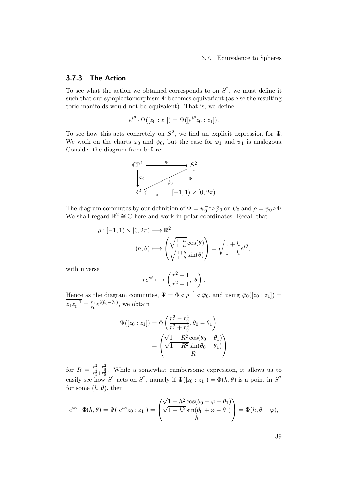#### <span id="page-41-0"></span>3.7.3 The Action

To see what the action we obtained corresponds to on  $S^2$ , we must define it such that our symplectomorphism  $\Psi$  becomes equivariant (as else the resulting toric manifolds would not be equivalent). That is, we define

$$
e^{i\theta} \cdot \Psi([z_0:z_1]) = \Psi([e^{i\theta}z_0:z_1]).
$$

To see how this acts concretely on  $S^2$ , we find an explicit expression for  $\Psi$ . We work on the charts  $\bar{\varphi}_0$  and  $\psi_0$ , but the case for  $\varphi_1$  and  $\psi_1$  is analogous. Consider the diagram from before:



The diagram commutes by our definition of  $\Psi = \psi_0^{-1} \circ \bar{\varphi}_0$  on  $U_0$  and  $\rho = \psi_0 \circ \Phi$ . We shall regard  $\mathbb{R}^2 \cong \mathbb{C}$  here and work in polar coordinates. Recall that

$$
\rho: [-1, 1) \times [0, 2\pi) \longrightarrow \mathbb{R}^2
$$

$$
(h, \theta) \longmapsto \left(\sqrt{\frac{1+h}{1-h}} \cos(\theta) \right) = \sqrt{\frac{1+h}{1-h}} e^{i\theta},
$$

with inverse

$$
re^{i\theta} \longrightarrow \left(\frac{r^2-1}{r^2+1}, \theta\right).
$$

Hence as the diagram commutes,  $\Psi = \Phi \circ \rho^{-1} \circ \bar{\varphi}_0$ , and using  $\bar{\varphi}_0([z_0 : z_1]) =$  $z_1 z_0^{-1} = \frac{r_1}{r_0}$  $\frac{r_1}{r_0}e^{i(\theta_0-\theta_1)}$ , we obtain

$$
\Psi([z_0 : z_1]) = \Phi\left(\frac{r_1^2 - r_0^2}{r_1^2 + r_0^2}, \theta_0 - \theta_1\right) \n= \begin{pmatrix}\n\sqrt{1 - R^2} \cos(\theta_0 - \theta_1) \\
\sqrt{1 - R^2} \sin(\theta_0 - \theta_1) \\
R\n\end{pmatrix}
$$

for  $R = \frac{r_1^2 - r_0^2}{r_1^2 + r_0^2}$ . While a somewhat cumbersome expression, it allows us to easily see how  $S^1$  acts on  $S^2$ , namely if  $\Psi([z_0 : z_1]) = \Phi(h, \theta)$  is a point in  $S^2$ for some  $(h, \theta)$ , then

$$
e^{i\varphi} \cdot \Phi(h,\theta) = \Psi([e^{i\varphi}z_0 : z_1]) = \begin{pmatrix} \sqrt{1-h^2} \cos(\theta_0 + \varphi - \theta_1) \\ \sqrt{1-h^2} \sin(\theta_0 + \varphi - \theta_1) \\ h \end{pmatrix} = \Phi(h,\theta + \varphi),
$$

39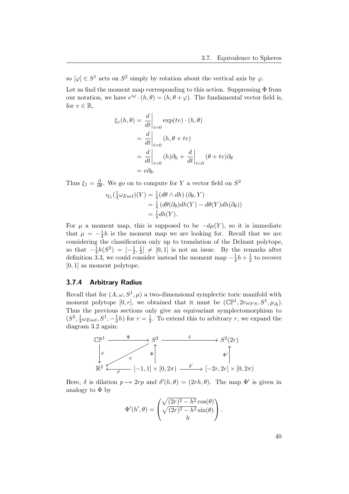so  $[\varphi] \in S^1$  acts on  $S^2$  simply by rotation about the vertical axis by  $\varphi$ .

Let us find the moment map corresponding to this action. Suppressing  $\Phi$  from our notation, we have  $e^{i\varphi} \cdot (h, \theta) = (h, \theta + \varphi)$ . The fundamental vector field is, for  $v \in \mathbb{R}$ ,

$$
\xi_v(h,\theta) = \frac{d}{dt}\Big|_{t=0} \exp(tv) \cdot (h,\theta)
$$
  
=  $\frac{d}{dt}\Big|_{t=0} (h,\theta + tv)$   
=  $\frac{d}{dt}\Big|_{t=0} (h)\partial_h + \frac{d}{dt}\Big|_{t=0} (\theta + tv)\partial_\theta$   
=  $v\partial_\theta$ .

Thus  $\xi_1 = \frac{\partial}{\partial \theta}$ . We go on to compute for Y a vector field on  $S^2$ 

$$
\iota_{\xi_1}(\frac{1}{4}\omega_{Eucl})(Y) = \frac{1}{4}(d\theta \wedge dh)(\partial_{\theta}, Y)
$$
  
=  $\frac{1}{4}(d\theta(\partial_{\theta})dh(Y) - d\theta(Y)dh(\partial_{\theta}))$   
=  $\frac{1}{4}dh(Y).$ 

For  $\mu$  a moment map, this is supposed to be  $-d\mu(Y)$ , so it is immediate that  $\mu = -\frac{1}{4}h$  is the moment map we are looking for. Recall that we are chat  $\mu = -\frac{1}{4}n$  is the moment map we are looking for. Recall that we are considering the classification only up to translation of the Delzant polytope, so that  $-\frac{1}{4}$  $\frac{1}{4}h(S^2) = \left[-\frac{1}{2}\right]$  $\frac{1}{2}, \frac{1}{2}$  $\frac{1}{2}$   $\neq$  [0, 1] is not an issue. By the remarks after definition [3.3,](#page-19-0) we could consider instead the moment map  $-\frac{1}{4}$  $\frac{1}{4}h + \frac{1}{2}$  $\frac{1}{2}$  to recover [0, 1] as moment polytope.

#### <span id="page-42-0"></span>3.7.4 Arbitrary Radius

Recall that for  $(A, \omega, S^1, \mu)$  a two-dimensional symplectic toric manifold with moment polytope [0, r], we obtained that it must be  $(\mathbb{CP}^1, 2r\omega_{FS}, S^1, \mu_{\Delta})$ . Thus the previous sections only give an equivariant symplectomorphism to  $(S^2, \frac{1}{4})$  $\frac{1}{4}\omega_{Eucl}, S^1, -\frac{1}{4}$  $\frac{1}{4}h$ ) for  $r=\frac{1}{2}$  $\frac{1}{2}$ . To extend this to arbitrary r, we expand the diagram [3.2](#page-36-1) again:



Here,  $\delta$  is dilation  $p \mapsto 2rp$  and  $\delta'(h, \theta) = (2rh, \theta)$ . The map  $\Phi'$  is given in analogy to  $\Phi$  by

$$
\Phi'(h', \theta) = \begin{pmatrix} \sqrt{(2r)^2 - h^2} \cos(\theta) \\ \sqrt{(2r)^2 - h^2} \sin(\theta) \\ h \end{pmatrix}.
$$

40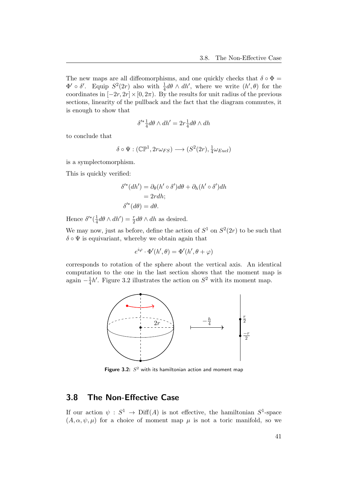The new maps are all diffeomorphisms, and one quickly checks that  $\delta \circ \Phi =$  $\Phi' \circ \delta'$ . Equip  $S^2(2r)$  also with  $\frac{1}{4}d\theta \wedge dh'$ , where we write  $(h', \theta)$  for the coordinates in  $[-2r, 2r] \times [0, 2\pi)$ . By the results for unit radius of the previous sections, linearity of the pullback and the fact that the diagram commutes, it is enough to show that

$$
\delta'^*\tfrac{1}{4}d\theta\wedge dh'=2r\tfrac{1}{4}d\theta\wedge dh
$$

to conclude that

$$
\delta \circ \Psi : (\mathbb{CP}^1, 2r\omega_{FS}) \longrightarrow (S^2(2r), \frac{1}{4}\omega_{Eucl})
$$

is a symplectomorphism.

This is quickly verified:

$$
\delta'^*(dh') = \partial_{\theta}(h' \circ \delta')d\theta + \partial_h(h' \circ \delta')dh
$$
  
= 2rdh;  

$$
\delta'^*(d\theta) = d\theta.
$$

Hence  $\delta^{\prime*}(\frac{1}{4})$  $\frac{1}{4}d\theta \wedge dh') = \frac{r}{2}d\theta \wedge dh$  as desired.

We may now, just as before, define the action of  $S^1$  on  $S^2(2r)$  to be such that  $\delta \circ \Psi$  is equivariant, whereby we obtain again that

$$
e^{i\varphi} \cdot \Phi'(h', \theta) = \Phi'(h', \theta + \varphi)
$$

corresponds to rotation of the sphere about the vertical axis. An identical computation to the one in the last section shows that the moment map is again  $-\frac{1}{4}$  $\frac{1}{4}h'$ . Figure [3.2](#page-43-1) illustrates the action on  $S^2$  with its moment map.



<span id="page-43-1"></span>Figure 3.2:  $S^2$  with its hamiltonian action and moment map

## <span id="page-43-0"></span>3.8 The Non-Effective Case

If our action  $\psi : S^1 \to \text{Diff}(A)$  is not effective, the hamiltonian  $S^1$ -space  $(A, \alpha, \psi, \mu)$  for a choice of moment map  $\mu$  is not a toric manifold, so we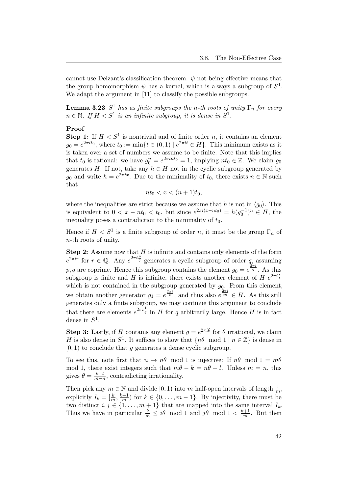cannot use Delzant's classification theorem.  $\psi$  not being effective means that the group homomorphism  $\psi$  has a kernel, which is always a subgroup of  $S^1$ . We adapt the argument in [\[11\]](#page-49-0) to classify the possible subgroups.

**Lemma 3.23**  $S^1$  has as finite subgroups the n-th roots of unity  $\Gamma_n$  for every  $n \in \mathbb{N}$ . If  $H < S^1$  is an infinite subgroup, it is dense in  $S^1$ .

#### Proof

**Step 1:** If  $H < S<sup>1</sup>$  is nontrivial and of finite order n, it contains an element  $g_0 = e^{2\pi i t_0}$ , where  $t_0 := \min\{t \in (0,1) \mid e^{2\pi i t} \in H\}$ . This minimum exists as it is taken over a set of numbers we assume to be finite. Note that this implies that  $t_0$  is rational: we have  $g_0^n = e^{2\pi int_0} = 1$ , implying  $nt_0 \in \mathbb{Z}$ . We claim  $g_0$ generates H. If not, take any  $h \in H$  not in the cyclic subgroup generated by  $g_0$  and write  $h = e^{2\pi ix}$ . Due to the minimality of  $t_0$ , there exists  $n \in \mathbb{N}$  such that

$$
nt_0 < x < (n+1)t_0,
$$

where the inequalities are strict because we assume that h is not in  $\langle g_0 \rangle$ . This is equivalent to  $0 < x - nt_0 < t_0$ , but since  $e^{2\pi i(x - nt_0)} = h(g_0^{-1})^n \in H$ , the inequality poses a contradiction to the minimality of  $t_0$ .

Hence if  $H < S^1$  is a finite subgroup of order n, it must be the group  $\Gamma_n$  of n-th roots of unity.

**Step 2:** Assume now that  $H$  is infinite and contains only elements of the form  $e^{2\pi i r}$  for  $r \in \mathbb{Q}$ . Any  $e^{2\pi i \frac{p}{q}}$  generates a cyclic subgroup of order q, assuming  $p, q$  are coprime. Hence this subgroup contains the element  $g_0 = e^{\frac{2\pi i}{q}}$ . As this subgroup is finite and H is infinite, there exists another element of H  $e^{2\pi i \frac{s}{t}}$ which is not contained in the subgroup generated by  $g_0$ . From this element, we obtain another generator  $g_1 = e^{\frac{2\pi i}{t}}$ , and thus also  $e^{\frac{2\pi i}{sq}} \in H$ . As this still generates only a finite subgroup, we may continue this argument to conclude that there are elements  $e^{2\pi i \frac{1}{q}}$  in H for q arbitrarily large. Hence H is in fact dense in  $S^1$ .

**Step 3:** Lastly, if H contains any element  $g = e^{2\pi i \theta}$  for  $\theta$  irrational, we claim H is also dense in  $S^1$ . It suffices to show that  $\{n\theta \mod 1 \mid n \in \mathbb{Z}\}\$  is dense in  $[0, 1)$  to conclude that g generates a dense cyclic subgroup.

To see this, note first that  $n \mapsto n\theta \mod 1$  is injective: If  $n\theta \mod 1 = m\theta$ mod 1, there exist integers such that  $m\theta - k = n\theta - l$ . Unless  $m = n$ , this gives  $\theta = \frac{k-l}{m-2}$  $\frac{k-l}{m-n}$ , contradicting irrationality.

Then pick any  $m \in \mathbb{N}$  and divide  $[0, 1)$  into m half-open intervals of length  $\frac{1}{m}$ , explicitly  $I_k = \left[\frac{k}{m}, \frac{k+1}{m}\right]$  $\frac{n+1}{m}$  for  $k \in \{0, \ldots, m-1\}$ . By injectivity, there must be two distinct  $i, j \in \{1, ..., m+1\}$  that are mapped into the same interval  $I_k$ . Thus we have in particular  $\frac{k}{m} \leq i\theta \mod 1$  and  $j\theta \mod 1 < \frac{k+1}{m}$  $\frac{n+1}{m}$ . But then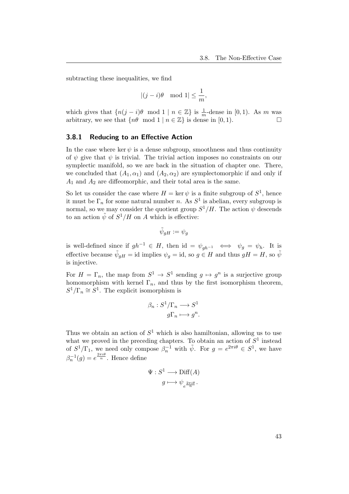subtracting these inequalities, we find

$$
|(j-i)\theta \mod 1| \leq \frac{1}{m},
$$

which gives that  $\{n(j - i)\theta \mod 1 \mid n \in \mathbb{Z}\}\$  is  $\frac{1}{m}$ -dense in [0, 1). As m was arbitrary, we see that  $\{n\theta \mod 1 \mid n \in \mathbb{Z}\}$  is dense in  $[0, 1)$ .

#### <span id="page-45-0"></span>3.8.1 Reducing to an Effective Action

In the case where ker  $\psi$  is a dense subgroup, smoothness and thus continuity of  $\psi$  give that  $\psi$  is trivial. The trivial action imposes no constraints on our symplectic manifold, so we are back in the situation of chapter one. There, we concluded that  $(A_1, \alpha_1)$  and  $(A_2, \alpha_2)$  are symplectomorphic if and only if  $A_1$  and  $A_2$  are diffeomorphic, and their total area is the same.

So let us consider the case where  $H = \ker \psi$  is a finite subgroup of  $S^1$ , hence it must be  $\Gamma_n$  for some natural number n. As  $S^1$  is abelian, every subgroup is normal, so we may consider the quotient group  $S^1/H$ . The action  $\psi$  descends to an action  $\tilde{\psi}$  of  $S^1/H$  on A which is effective:

$$
\tilde{\psi}_{gH}:=\psi_g
$$

is well-defined since if  $gh^{-1} \in H$ , then id =  $\psi_{gh^{-1}} \iff \psi_g = \psi_h$ . It is effective because  $\tilde{\psi}_{gH} = id$  implies  $\psi_g = id$ , so  $g \in H$  and thus  $gH = H$ , so  $\tilde{\psi}$ is injective.

For  $H = \Gamma_n$ , the map from  $S^1 \to S^1$  sending  $g \mapsto g^n$  is a surjective group homomorphism with kernel  $\Gamma_n$ , and thus by the first isomorphism theorem,  $S^1/\Gamma_n \cong S^1$ . The explicit isomorphism is

$$
\beta_n : S^1/\Gamma_n \longrightarrow S^1
$$

$$
g\Gamma_n \longmapsto g^n.
$$

Thus we obtain an action of  $S^1$  which is also hamiltonian, allowing us to use what we proved in the preceding chapters. To obtain an action of  $S<sup>1</sup>$  instead of  $S^1/\Gamma_1$ , we need only compose  $\beta_n^{-1}$  with  $\tilde{\psi}$ . For  $g = e^{2\pi i \theta} \in S^1$ , we have  $\beta_n^{-1}(g) = e^{\frac{2\pi i \theta}{n}}$ . Hence define

$$
\Psi: S^1 \longrightarrow \text{Diff}(A)
$$

$$
g \longmapsto \psi_{e^{\frac{2\pi i \theta}{n}}}.
$$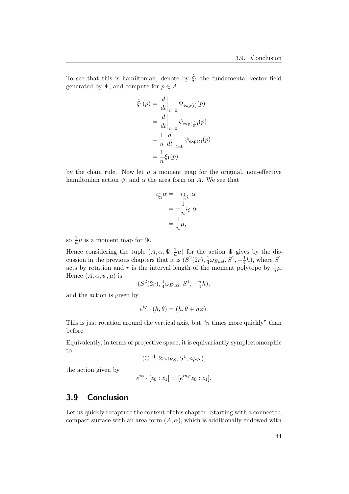To see that this is hamiltonian, denote by  $\tilde{\xi}_1$  the fundamental vector field generated by  $\Psi$ , and compute for  $p \in A$ 

$$
\tilde{\xi}_1(p) = \frac{d}{dt}\Big|_{t=0} \Psi_{\exp(t)}(p)
$$

$$
= \frac{d}{dt}\Big|_{t=0} \psi_{\exp(\frac{t}{n})}(p)
$$

$$
= \frac{1}{n} \frac{d}{dt}\Big|_{t=0} \psi_{\exp(t)}(p)
$$

$$
= \frac{1}{n} \xi_1(p)
$$

by the chain rule. Now let  $\mu$  a moment map for the original, non-effective hamiltonian action  $\psi$ , and  $\alpha$  the area form on A. We see that

$$
-i_{\xi_1}\alpha = -i_{\frac{1}{n}\xi_1}\alpha
$$

$$
= -\frac{1}{n}i_{\xi_1}\alpha
$$

$$
= \frac{1}{n}\mu,
$$

so  $\frac{1}{n}\mu$  is a moment map for  $\Psi$ .

Hence considering the tuple  $(A, \alpha, \Psi, \frac{1}{n})$  $(\frac{1}{n}\mu)$  for the action  $\Psi$  gives by the discussion in the previous chapters that it is  $(S^2(2r), \frac{1}{4})$  $\frac{1}{4}\omega_{Eucl}, S^1, -\frac{1}{4}$  $(\frac{1}{4}h)$ , where  $S^1$ acts by rotation and r is the interval length of the moment polytope by  $\frac{1}{n}\mu$ . Hence  $(A, \alpha, \psi, \mu)$  is

$$
(S2(2r), \frac{1}{4}\omega_{Eucl}, S1, -\frac{n}{4}h),
$$

and the action is given by

$$
e^{i\varphi} \cdot (h,\theta) = (h,\theta + n\varphi).
$$

This is just rotation around the vertical axis, but " $n$  times more quickly" than before.

Equivalently, in terms of projective space, it is equivariantly symplectomorphic to

$$
(\mathbb{CP}^1, 2r\omega_{FS}, S^1, n\mu_{\Delta}),
$$

the action given by

$$
e^{i\varphi} \cdot [z_0 : z_1] = [e^{in\varphi} z_0 : z_1].
$$

## <span id="page-46-0"></span>3.9 Conclusion

Let us quickly recapture the content of this chapter. Starting with a connected, compact surface with an area form  $(A, \alpha)$ , which is additionally endowed with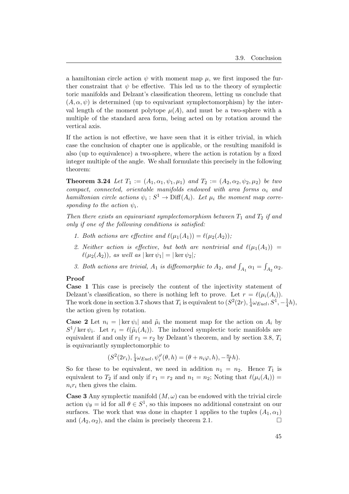a hamiltonian circle action  $\psi$  with moment map  $\mu$ , we first imposed the further constraint that  $\psi$  be effective. This led us to the theory of symplectic toric manifolds and Delzant's classification theorem, letting us conclude that  $(A, \alpha, \psi)$  is determined (up to equivariant symplectomorphism) by the interval length of the moment polytope  $\mu(A)$ , and must be a two-sphere with a multiple of the standard area form, being acted on by rotation around the vertical axis.

If the action is not effective, we have seen that it is either trivial, in which case the conclusion of chapter one is applicable, or the resulting manifold is also (up to equivalence) a two-sphere, where the action is rotation by a fixed integer multiple of the angle. We shall formulate this precisely in the following theorem:

**Theorem 3.24** Let  $T_1 := (A_1, \alpha_1, \psi_1, \mu_1)$  and  $T_2 := (A_2, \alpha_2, \psi_2, \mu_2)$  be two compact, connected, orientable manifolds endowed with area forms  $\alpha_i$  and hamiltonian circle actions  $\psi_i : S^1 \to \text{Diff}(A_i)$ . Let  $\mu_i$  the moment map corresponding to the action  $\psi_i$ .

Then there exists an equivariant symplectomorphism between  $T_1$  and  $T_2$  if and only if one of the following conditions is satisfied:

- 1. Both actions are effective and  $\ell(\mu_1(A_1)) = \ell(\mu_2(A_2));$
- 2. Neither action is effective, but both are nontrivial and  $\ell(\mu_1(A_1)) =$  $\ell(\mu_2(A_2))$ , as well as  $|\ker \psi_1| = |\ker \psi_2|$ ;
- 3. Both actions are trivial,  $A_1$  is diffeomorphic to  $A_2$ , and  $\int_{A_1} \alpha_1 = \int_{A_2} \alpha_2$ .

#### Proof

Case 1 This case is precisely the content of the injectivity statement of Delzant's classification, so there is nothing left to prove. Let  $r = \ell(\mu_i(A_i)).$ The work done in section [3.7](#page-34-0) shows that  $T_i$  is equivalent to  $(S^2(2r), \frac{1}{4})$  $\frac{1}{4}\omega_{Eucl}, S^1, -\frac{1}{4}$  $\frac{1}{4}h$ ), the action given by rotation.

**Case 2** Let  $n_i = |\ker \psi_i|$  and  $\tilde{\mu}_i$  the moment map for the action on  $A_i$  by  $S^1$ /ker  $\psi_i$ . Let  $r_i = \ell(\tilde{\mu}_i(A_i))$ . The induced symplectic toric manifolds are equivalent if and only if  $r_1 = r_2$  by Delzant's theorem, and by section [3.8,](#page-43-0)  $T_i$ is equivariantly symplectomorphic to

$$
(S^{2}(2r_{i}), \frac{1}{4}\omega_{Eucl}, \psi_{i}^{\varphi}(\theta, h) = (\theta + n_{i}\varphi, h), -\frac{n_{i}}{4}h).
$$

So for these to be equivalent, we need in addition  $n_1 = n_2$ . Hence  $T_1$  is equivalent to  $T_2$  if and only if  $r_1 = r_2$  and  $n_1 = n_2$ ; Noting that  $\ell(\mu_i(A_i)) =$  $n_i r_i$  then gives the claim.

**Case 3** Any symplectic manifold  $(M, \omega)$  can be endowed with the trivial circle action  $\psi_{\theta} = id$  for all  $\theta \in S^1$ , so this imposes no additional constraint on our surfaces. The work that was done in chapter 1 applies to the tuples  $(A_1, \alpha_1)$ and  $(A_2, \alpha_2)$ , and the claim is precisely theorem [2.1.](#page-5-1)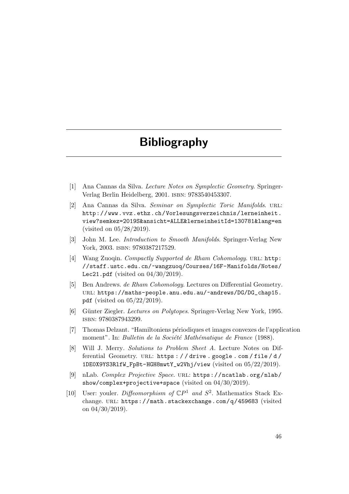## Bibliography

- <span id="page-48-1"></span><span id="page-48-0"></span>[1] Ana Cannas da Silva. Lecture Notes on Symplectic Geometry. Springer-Verlag Berlin Heidelberg, 2001. isbn: 9783540453307.
- <span id="page-48-2"></span>[2] Ana Cannas da Silva. Seminar on Symplectic Toric Manifolds. url: [http://www.vvz.ethz.ch/Vorlesungsverzeichnis/lerneinheit.](http://www.vvz.ethz.ch/Vorlesungsverzeichnis/lerneinheit.view?semkez=2019S&ansicht=ALLE&lerneinheitId=130781&lang=en) [view?semkez=2019S&ansicht=ALLE&lerneinheitId=130781&lang=en](http://www.vvz.ethz.ch/Vorlesungsverzeichnis/lerneinheit.view?semkez=2019S&ansicht=ALLE&lerneinheitId=130781&lang=en) (visited on 05/28/2019).
- <span id="page-48-3"></span>[3] John M. Lee. Introduction to Smooth Manifolds. Springer-Verlag New York, 2003. ISBN: 9780387217529.
- <span id="page-48-4"></span>[4] Wang Zuoqin. Compactly Supported de Rham Cohomology. URL: [http:](http://staff.ustc.edu.cn/~wangzuoq/Courses/16F-Manifolds/Notes/Lec21.pdf) [//staff.ustc.edu.cn/~wangzuoq/Courses/16F-Manifolds/Notes/](http://staff.ustc.edu.cn/~wangzuoq/Courses/16F-Manifolds/Notes/Lec21.pdf) [Lec21.pdf](http://staff.ustc.edu.cn/~wangzuoq/Courses/16F-Manifolds/Notes/Lec21.pdf) (visited on 04/30/2019).
- <span id="page-48-5"></span>[5] Ben Andrews. de Rham Cohomology. Lectures on Differential Geometry. url: [https://maths-people.anu.edu.au/~andrews/DG/DG\\_chap15.](https://maths-people.anu.edu.au/~andrews/DG/DG_chap15.pdf) [pdf](https://maths-people.anu.edu.au/~andrews/DG/DG_chap15.pdf) (visited on 05/22/2019).
- <span id="page-48-6"></span>[6] Günter Ziegler. Lectures on Polytopes. Springer-Verlag New York, 1995. isbn: 9780387943299.
- <span id="page-48-7"></span>[7] Thomas Delzant. "Hamiltoniens périodiques et images convexes de l'application moment". In: Bulletin de la Société Mathématique de France (1988).
- <span id="page-48-8"></span>[8] Will J. Merry. Solutions to Problem Sheet A. Lecture Notes on Differential Geometry. url: [https : / / drive . google . com / file / d /](https://drive.google.com/file/d/1DE0X9YS3RlfW_FpBt-HGH8mwtY_w2Vhj/view) [1DE0X9YS3RlfW\\_FpBt-HGH8mwtY\\_w2Vhj/view](https://drive.google.com/file/d/1DE0X9YS3RlfW_FpBt-HGH8mwtY_w2Vhj/view) (visited on 05/22/2019).
- <span id="page-48-9"></span>[9] nLab. Complex Projective Space. url: [https://ncatlab.org/nlab/](https://ncatlab.org/nlab/show/complex+projective+space) [show/complex+projective+space](https://ncatlab.org/nlab/show/complex+projective+space) (visited on 04/30/2019).
- <span id="page-48-10"></span>[10] User: youler. Diffeomorphism of  $\mathbb{C}P^1$  and  $S^2$ . Mathematics Stack Exchange. URL: <https://math.stackexchange.com/q/459683> (visited on 04/30/2019).